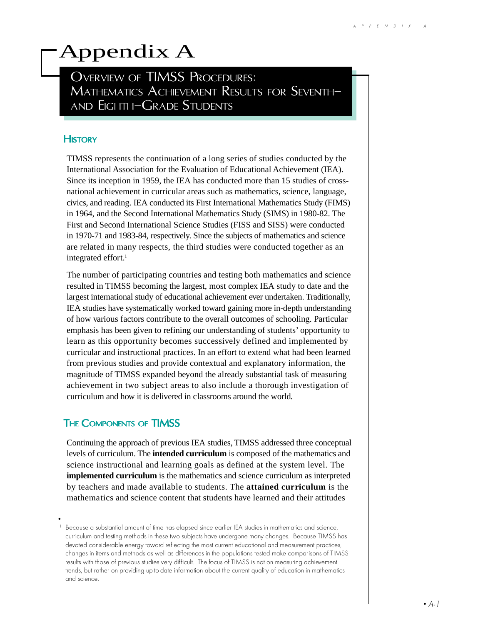# Appendix A

OVERVIEW OF TIMSS PROCEDURES: MATHEMATICS ACHIEVEMENT RESULTS FOR SEVENTH– AND EIGHTH–GRADE STUDENTS

#### **HISTORY**

TIMSS represents the continuation of a long series of studies conducted by the International Association for the Evaluation of Educational Achievement (IEA). Since its inception in 1959, the IEA has conducted more than 15 studies of crossnational achievement in curricular areas such as mathematics, science, language, civics, and reading. IEA conducted its First International Mathematics Study (FIMS) in 1964, and the Second International Mathematics Study (SIMS) in 1980-82. The First and Second International Science Studies (FISS and SISS) were conducted in 1970-71 and 1983-84, respectively. Since the subjects of mathematics and science are related in many respects, the third studies were conducted together as an integrated effort.<sup>1</sup>

The number of participating countries and testing both mathematics and science resulted in TIMSS becoming the largest, most complex IEA study to date and the largest international study of educational achievement ever undertaken. Traditionally, IEA studies have systematically worked toward gaining more in-depth understanding of how various factors contribute to the overall outcomes of schooling. Particular emphasis has been given to refining our understanding of students' opportunity to learn as this opportunity becomes successively defined and implemented by curricular and instructional practices. In an effort to extend what had been learned from previous studies and provide contextual and explanatory information, the magnitude of TIMSS expanded beyond the already substantial task of measuring achievement in two subject areas to also include a thorough investigation of curriculum and how it is delivered in classrooms around the world.

### THE COMPONENTS OF TIMSS

Continuing the approach of previous IEA studies, TIMSS addressed three conceptual levels of curriculum. The **intended curriculum** is composed of the mathematics and science instructional and learning goals as defined at the system level. The **implemented curriculum** is the mathematics and science curriculum as interpreted by teachers and made available to students. The **attained curriculum** is the mathematics and science content that students have learned and their attitudes

<sup>1</sup> Because a substantial amount of time has elapsed since earlier IEA studies in mathematics and science, curriculum and testing methods in these two subjects have undergone many changes. Because TIMSS has devoted considerable energy toward reflecting the most current educational and measurement practices, changes in items and methods as well as differences in the populations tested make comparisons of TIMSS results with those of previous studies very difficult. The focus of TIMSS is not on measuring achievement trends, but rather on providing up-to-date information about the current quality of education in mathematics and science.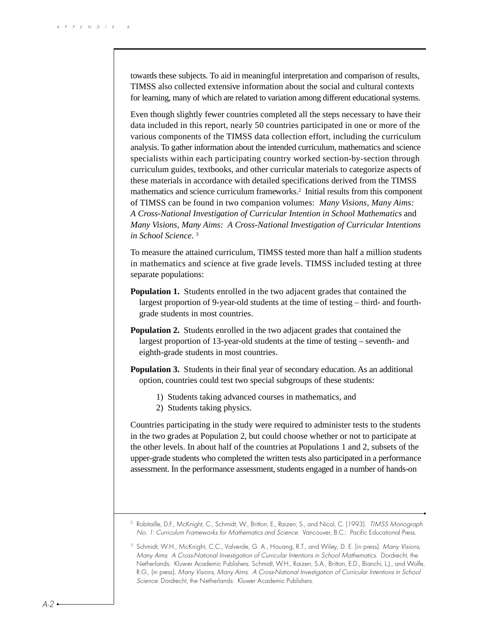towards these subjects. To aid in meaningful interpretation and comparison of results, TIMSS also collected extensive information about the social and cultural contexts for learning, many of which are related to variation among different educational systems.

Even though slightly fewer countries completed all the steps necessary to have their data included in this report, nearly 50 countries participated in one or more of the various components of the TIMSS data collection effort, including the curriculum analysis. To gather information about the intended curriculum, mathematics and science specialists within each participating country worked section-by-section through curriculum guides, textbooks, and other curricular materials to categorize aspects of these materials in accordance with detailed specifications derived from the TIMSS mathematics and science curriculum frameworks.<sup>2</sup> Initial results from this component of TIMSS can be found in two companion volumes: *Many Visions, Many Aims: A Cross-National Investigation of Curricular Intention in School Mathematics* and *Many Visions, Many Aims: A Cross-National Investigation of Curricular Intentions in School Science*. 3

To measure the attained curriculum, TIMSS tested more than half a million students in mathematics and science at five grade levels. TIMSS included testing at three separate populations:

- **Population 1.** Students enrolled in the two adjacent grades that contained the largest proportion of 9-year-old students at the time of testing – third- and fourthgrade students in most countries.
- **Population 2.** Students enrolled in the two adjacent grades that contained the largest proportion of 13-year-old students at the time of testing – seventh- and eighth-grade students in most countries.
- **Population 3.** Students in their final year of secondary education. As an additional option, countries could test two special subgroups of these students:
	- 1) Students taking advanced courses in mathematics, and
	- 2) Students taking physics.

Countries participating in the study were required to administer tests to the students in the two grades at Population 2, but could choose whether or not to participate at the other levels. In about half of the countries at Populations 1 and 2, subsets of the upper-grade students who completed the written tests also participated in a performance assessment. In the performance assessment, students engaged in a number of hands-on

<sup>&</sup>lt;sup>2</sup> Robitaille, D.F., McKnight, C., Schmidt, W., Britton, E., Raizen, S., and Nicol, C. (1993). *TIMSS Monograph* No. 1: Curriculum Frameworks for Mathematics and Science. Vancouver, B.C.: Pacific Educational Press.

<sup>&</sup>lt;sup>3</sup> Schmidt, W.H., McKnight, C.C., Valverde, G. A., Houang, R.T., and Wiley, D. E. (in press). Many Visions, Many Aims: A Cross-National Investigation of Curricular Intentions in School Mathematics. Dordrecht, the Netherlands: Kluwer Academic Publishers. Schmidt, W.H., Raizen, S.A., Britton, E.D., Bianchi, L.J., and Wolfe, R.G., (in press). Many Visions, Many Aims: A Cross-National Investigation of Curricular Intentions in School Science. Dordrecht, the Netherlands: Kluwer Academic Publishers.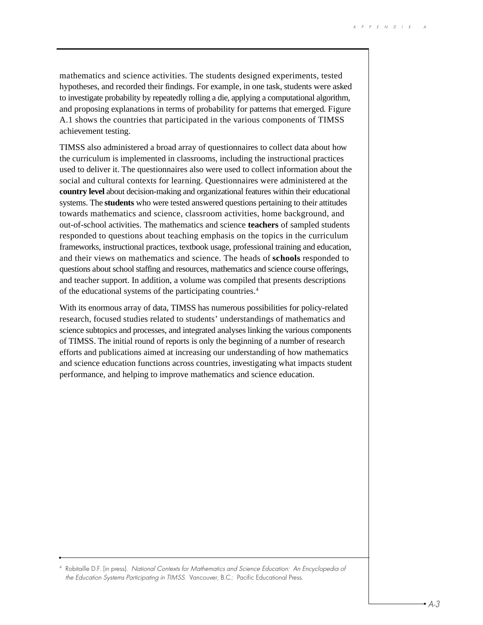mathematics and science activities. The students designed experiments, tested hypotheses, and recorded their findings. For example, in one task, students were asked to investigate probability by repeatedly rolling a die, applying a computational algorithm, and proposing explanations in terms of probability for patterns that emerged. Figure A.1 shows the countries that participated in the various components of TIMSS achievement testing.

TIMSS also administered a broad array of questionnaires to collect data about how the curriculum is implemented in classrooms, including the instructional practices used to deliver it. The questionnaires also were used to collect information about the social and cultural contexts for learning. Questionnaires were administered at the **country level** about decision-making and organizational features within their educational systems. The **students** who were tested answered questions pertaining to their attitudes towards mathematics and science, classroom activities, home background, and out-of-school activities. The mathematics and science **teachers** of sampled students responded to questions about teaching emphasis on the topics in the curriculum frameworks, instructional practices, textbook usage, professional training and education, and their views on mathematics and science. The heads of **schools** responded to questions about school staffing and resources, mathematics and science course offerings, and teacher support. In addition, a volume was compiled that presents descriptions of the educational systems of the participating countries.4

With its enormous array of data, TIMSS has numerous possibilities for policy-related research, focused studies related to students' understandings of mathematics and science subtopics and processes, and integrated analyses linking the various components of TIMSS. The initial round of reports is only the beginning of a number of research efforts and publications aimed at increasing our understanding of how mathematics and science education functions across countries, investigating what impacts student performance, and helping to improve mathematics and science education.

4 Robitaille D.F. (in press). National Contexts for Mathematics and Science Education: An Encyclopedia of the Education Systems Participating in TIMSS. Vancouver, B.C.: Pacific Educational Press.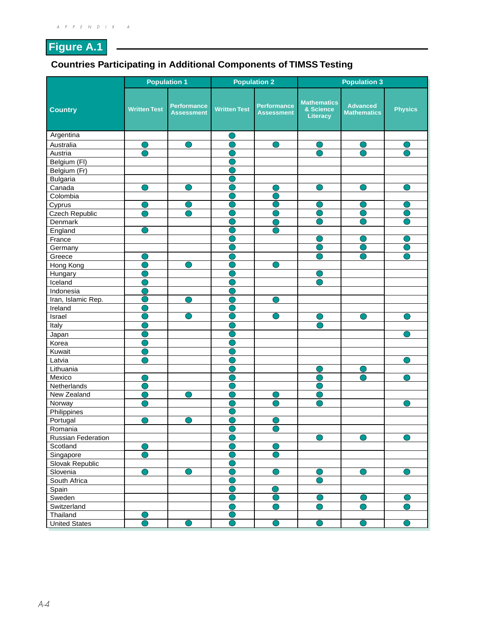**Figure A.1**

# **Countries Participating in Additional Components of TIMSS Testing**

|                        | <b>Population 1</b> |                                         |                     | <b>Population 2</b>                     |                                             | <b>Population 3</b>                   |                |
|------------------------|---------------------|-----------------------------------------|---------------------|-----------------------------------------|---------------------------------------------|---------------------------------------|----------------|
| <b>Country</b>         | <b>Written Test</b> | <b>Performance</b><br><b>Assessment</b> | <b>Written Test</b> | <b>Performance</b><br><b>Assessment</b> | <b>Mathematics</b><br>& Science<br>Literacy | <b>Advanced</b><br><b>Mathematics</b> | <b>Physics</b> |
| Argentina              |                     |                                         |                     |                                         |                                             |                                       |                |
| Australia              |                     |                                         |                     |                                         |                                             |                                       |                |
| Austria                |                     |                                         |                     |                                         |                                             |                                       |                |
| Belgium (FI)           |                     |                                         |                     |                                         |                                             |                                       |                |
| Belgium (Fr)           |                     |                                         |                     |                                         |                                             |                                       |                |
| <b>Bulgaria</b>        |                     |                                         |                     |                                         |                                             |                                       |                |
| Canada                 |                     |                                         |                     |                                         |                                             |                                       |                |
| Colombia               |                     |                                         |                     |                                         |                                             |                                       |                |
| Cyprus                 |                     |                                         |                     |                                         |                                             |                                       |                |
| Czech Republic         |                     |                                         |                     |                                         |                                             |                                       |                |
| Denmark                |                     |                                         |                     |                                         |                                             |                                       |                |
| England                |                     |                                         |                     |                                         |                                             |                                       |                |
| France                 |                     |                                         |                     |                                         |                                             |                                       |                |
| Germany                |                     |                                         |                     |                                         |                                             |                                       |                |
| Greece                 |                     |                                         |                     |                                         |                                             |                                       |                |
| Hong Kong              |                     |                                         |                     |                                         |                                             |                                       |                |
| Hungary                |                     |                                         |                     |                                         |                                             |                                       |                |
| Iceland                |                     |                                         |                     |                                         |                                             |                                       |                |
| Indonesia              |                     |                                         |                     |                                         |                                             |                                       |                |
| Iran, Islamic Rep.     |                     |                                         |                     |                                         |                                             |                                       |                |
| Ireland                |                     |                                         |                     |                                         |                                             |                                       |                |
| Israel                 |                     |                                         |                     |                                         |                                             |                                       |                |
| Italy                  |                     |                                         |                     |                                         |                                             |                                       |                |
| Japan                  |                     |                                         |                     |                                         |                                             |                                       |                |
| Korea                  |                     |                                         |                     |                                         |                                             |                                       |                |
| Kuwait                 |                     |                                         |                     |                                         |                                             |                                       |                |
| Latvia                 |                     |                                         |                     |                                         |                                             |                                       |                |
| Lithuania              |                     |                                         |                     |                                         |                                             |                                       |                |
| Mexico                 |                     |                                         |                     |                                         |                                             |                                       |                |
| Netherlands            |                     |                                         |                     |                                         |                                             |                                       |                |
| New Zealand            |                     |                                         |                     |                                         |                                             |                                       |                |
| Norway                 |                     |                                         |                     |                                         |                                             |                                       |                |
| Philippines            |                     |                                         |                     |                                         |                                             |                                       |                |
| Portugal               |                     |                                         |                     |                                         |                                             |                                       |                |
| Romania                |                     |                                         |                     |                                         |                                             |                                       |                |
| Russian Federation     |                     |                                         |                     |                                         |                                             |                                       |                |
| Scotland               |                     |                                         |                     |                                         |                                             |                                       |                |
| Singapore              |                     |                                         |                     |                                         |                                             |                                       |                |
| <b>Slovak Republic</b> |                     |                                         |                     |                                         |                                             |                                       |                |
| Slovenia               |                     |                                         |                     |                                         |                                             |                                       |                |
| South Africa           |                     |                                         |                     |                                         | O)                                          |                                       |                |
| Spain                  |                     |                                         |                     |                                         |                                             |                                       |                |
| Sweden                 |                     |                                         |                     |                                         |                                             |                                       |                |
| Switzerland            |                     |                                         |                     |                                         |                                             |                                       |                |
| Thailand               |                     |                                         |                     |                                         |                                             |                                       |                |
| <b>United States</b>   |                     | $\hspace{0.1cm} \rightarrow$            | B                   |                                         |                                             | $\hspace{0.1cm} \Box$                 |                |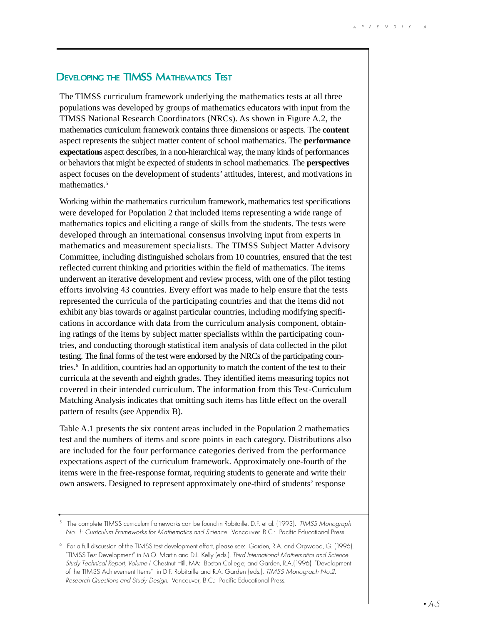#### DEVELOPING THE TIMSS MATHEMATICS TEST

The TIMSS curriculum framework underlying the mathematics tests at all three populations was developed by groups of mathematics educators with input from the TIMSS National Research Coordinators (NRCs). As shown in Figure A.2, the mathematics curriculum framework contains three dimensions or aspects. The **content** aspect represents the subject matter content of school mathematics. The **performance expectations** aspect describes, in a non-hierarchical way, the many kinds of performances or behaviors that might be expected of students in school mathematics. The **perspectives** aspect focuses on the development of students' attitudes, interest, and motivations in mathematics.<sup>5</sup>

Working within the mathematics curriculum framework, mathematics test specifications were developed for Population 2 that included items representing a wide range of mathematics topics and eliciting a range of skills from the students. The tests were developed through an international consensus involving input from experts in mathematics and measurement specialists. The TIMSS Subject Matter Advisory Committee, including distinguished scholars from 10 countries, ensured that the test reflected current thinking and priorities within the field of mathematics. The items underwent an iterative development and review process, with one of the pilot testing efforts involving 43 countries. Every effort was made to help ensure that the tests represented the curricula of the participating countries and that the items did not exhibit any bias towards or against particular countries, including modifying specifications in accordance with data from the curriculum analysis component, obtaining ratings of the items by subject matter specialists within the participating countries, and conducting thorough statistical item analysis of data collected in the pilot testing. The final forms of the test were endorsed by the NRCs of the participating countries.<sup>6</sup> In addition, countries had an opportunity to match the content of the test to their curricula at the seventh and eighth grades. They identified items measuring topics not covered in their intended curriculum. The information from this Test-Curriculum Matching Analysis indicates that omitting such items has little effect on the overall pattern of results (see Appendix B).

Table A.1 presents the six content areas included in the Population 2 mathematics test and the numbers of items and score points in each category. Distributions also are included for the four performance categories derived from the performance expectations aspect of the curriculum framework. Approximately one-fourth of the items were in the free-response format, requiring students to generate and write their own answers. Designed to represent approximately one-third of students' response

The complete TIMSS curriculum frameworks can be found in Robitaille, D.F. et al. (1993). TIMSS Monograph No. 1: Curriculum Frameworks for Mathematics and Science. Vancouver, B.C.: Pacific Educational Press.

<sup>6</sup> For a full discussion of the TIMSS test development effort, please see: Garden, R.A. and Orpwood, G. (1996). "TIMSS Test Development" in M.O. Martin and D.L. Kelly (eds.), Third International Mathematics and Science Study Technical Report, Volume I. Chestnut Hill, MA: Boston College; and Garden, R.A.(1996). "Development of the TIMSS Achievement Items" in D.F. Robitaille and R.A. Garden (eds.), TIMSS Monograph No.2: Research Questions and Study Design. Vancouver, B.C.: Pacific Educational Press.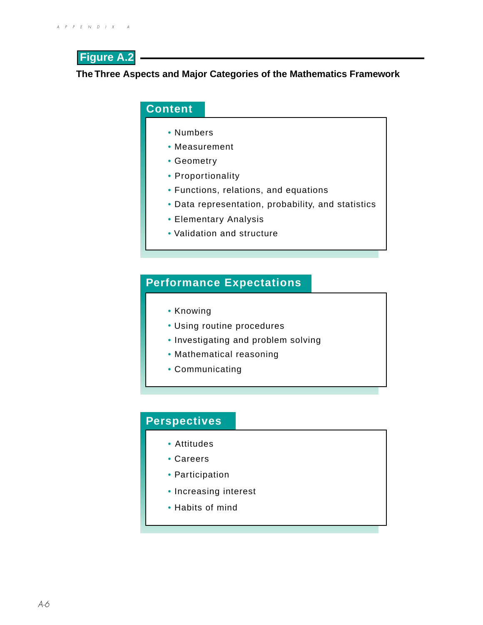### **Figure A.2**

**The Three Aspects and Major Categories of the Mathematics Framework**

### **Content**

- Numbers
- Measurement
- Geometry
- Proportionality
- Functions, relations, and equations
- Data representation, probability, and statistics
- Elementary Analysis
- Validation and structure

# **Performance Expectations**

- Knowing
- Using routine procedures
- Investigating and problem solving
- Mathematical reasoning
- Communicating

### **Perspectives**

- Attitudes
- Careers
- Participation
- Increasing interest
- Habits of mind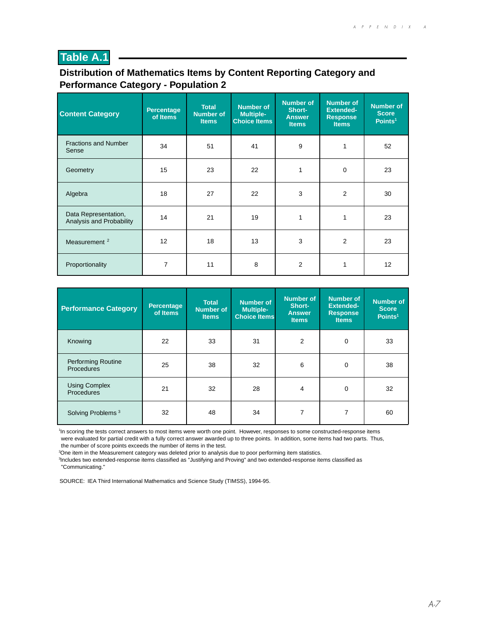### **Distribution of Mathematics Items by Content Reporting Category and Performance Category - Population 2**

| <b>Content Category</b>                          | <b>Percentage</b><br>of Items | <b>Total</b><br><b>Number of</b><br><b>Items</b> | <b>Number of</b><br><b>Multiple-</b><br><b>Choice Items</b> | <b>Number of</b><br>Short-<br><b>Answer</b><br><b>Items</b> | <b>Number of</b><br><b>Extended-</b><br><b>Response</b><br><b>Items</b> | <b>Number of</b><br><b>Score</b><br>Points $1$ |
|--------------------------------------------------|-------------------------------|--------------------------------------------------|-------------------------------------------------------------|-------------------------------------------------------------|-------------------------------------------------------------------------|------------------------------------------------|
| <b>Fractions and Number</b><br>Sense             | 34                            | 51                                               | 41                                                          | 9                                                           | 1                                                                       | 52                                             |
| Geometry                                         | 15                            | 23                                               | 22                                                          | 1                                                           | $\mathbf 0$                                                             | 23                                             |
| Algebra                                          | 18                            | 27                                               | 22                                                          | 3                                                           | 2                                                                       | 30                                             |
| Data Representation,<br>Analysis and Probability | 14                            | 21                                               | 19                                                          | 1                                                           | 1                                                                       | 23                                             |
| Measurement <sup>2</sup>                         | 12                            | 18                                               | 13                                                          | 3                                                           | $\overline{2}$                                                          | 23                                             |
| Proportionality                                  | 7                             | 11                                               | 8                                                           | 2                                                           | 1                                                                       | 12                                             |

| <b>Performance Category</b>             | <b>Percentage</b><br>of Items | <b>Total</b><br><b>Number of</b><br><b>Items</b> | <b>Number of</b><br><b>Multiple-</b><br><b>Choice Items</b> | <b>Number of</b><br>Short-<br><b>Answer</b><br><b>Items</b> | <b>Number of</b><br><b>Extended-</b><br><b>Response</b><br><b>Items</b> | <b>Number of</b><br><b>Score</b><br>Points <sup>1</sup> |
|-----------------------------------------|-------------------------------|--------------------------------------------------|-------------------------------------------------------------|-------------------------------------------------------------|-------------------------------------------------------------------------|---------------------------------------------------------|
| Knowing                                 | 22                            | 33                                               | 31                                                          | 2                                                           | $\mathbf 0$                                                             | 33                                                      |
| <b>Performing Routine</b><br>Procedures | 25                            | 38                                               | 32                                                          | 6                                                           | $\Omega$                                                                | 38                                                      |
| <b>Using Complex</b><br>Procedures      | 21                            | 32                                               | 28                                                          | 4                                                           | $\mathbf 0$                                                             | 32                                                      |
| Solving Problems <sup>3</sup>           | 32                            | 48                                               | 34                                                          | 7                                                           | 7                                                                       | 60                                                      |

1 In scoring the tests correct answers to most items were worth one point. However, responses to some constructed-response items were evaluated for partial credit with a fully correct answer awarded up to three points. In addition, some items had two parts. Thus, the number of score points exceeds the number of items in the test.

2 One item in the Measurement category was deleted prior to analysis due to poor performing item statistics.

3 Includes two extended-response items classified as "Justifying and Proving" and two extended-response items classified as "Communicating."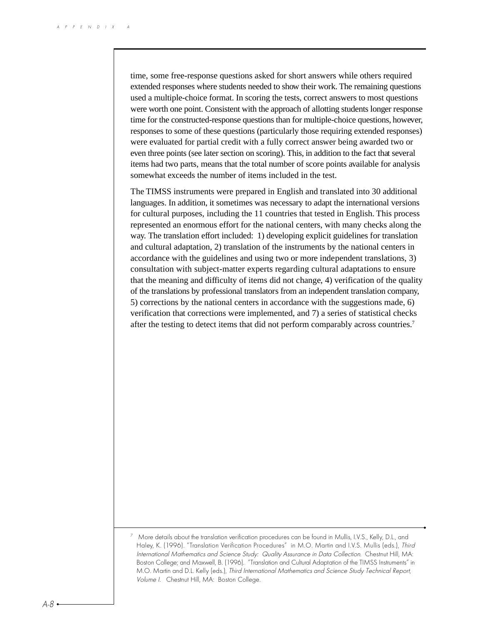time, some free-response questions asked for short answers while others required extended responses where students needed to show their work. The remaining questions used a multiple-choice format. In scoring the tests, correct answers to most questions were worth one point. Consistent with the approach of allotting students longer response time for the constructed-response questions than for multiple-choice questions, however, responses to some of these questions (particularly those requiring extended responses) were evaluated for partial credit with a fully correct answer being awarded two or even three points (see later section on scoring). This, in addition to the fact that several items had two parts, means that the total number of score points available for analysis somewhat exceeds the number of items included in the test.

The TIMSS instruments were prepared in English and translated into 30 additional languages. In addition, it sometimes was necessary to adapt the international versions for cultural purposes, including the 11 countries that tested in English. This process represented an enormous effort for the national centers, with many checks along the way. The translation effort included: 1) developing explicit guidelines for translation and cultural adaptation, 2) translation of the instruments by the national centers in accordance with the guidelines and using two or more independent translations, 3) consultation with subject-matter experts regarding cultural adaptations to ensure that the meaning and difficulty of items did not change, 4) verification of the quality of the translations by professional translators from an independent translation company, 5) corrections by the national centers in accordance with the suggestions made, 6) verification that corrections were implemented, and 7) a series of statistical checks after the testing to detect items that did not perform comparably across countries.7

 $7$  More details about the translation verification procedures can be found in Mullis, I.V.S., Kelly, D.L., and Haley, K. (1996). "Translation Verification Procedures" in M.O. Martin and I.V.S. Mullis (eds.), Third International Mathematics and Science Study: Quality Assurance in Data Collection. Chestnut Hill, MA: Boston College; and Maxwell, B. (1996). "Translation and Cultural Adaptation of the TIMSS Instruments" in M.O. Martin and D.L. Kelly (eds.), Third International Mathematics and Science Study Technical Report, Volume I. Chestnut Hill, MA: Boston College.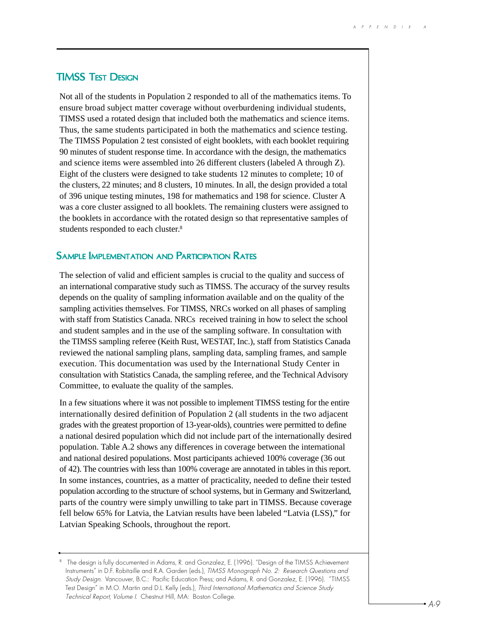#### **TIMSS TEST DESIGN**

Not all of the students in Population 2 responded to all of the mathematics items. To ensure broad subject matter coverage without overburdening individual students, TIMSS used a rotated design that included both the mathematics and science items. Thus, the same students participated in both the mathematics and science testing. The TIMSS Population 2 test consisted of eight booklets, with each booklet requiring 90 minutes of student response time. In accordance with the design, the mathematics and science items were assembled into 26 different clusters (labeled A through Z). Eight of the clusters were designed to take students 12 minutes to complete; 10 of the clusters, 22 minutes; and 8 clusters, 10 minutes. In all, the design provided a total of 396 unique testing minutes, 198 for mathematics and 198 for science. Cluster A was a core cluster assigned to all booklets. The remaining clusters were assigned to the booklets in accordance with the rotated design so that representative samples of students responded to each cluster.8

#### SAMPLE IMPLEMENTATION AND PARTICIPATION RATES

The selection of valid and efficient samples is crucial to the quality and success of an international comparative study such as TIMSS. The accuracy of the survey results depends on the quality of sampling information available and on the quality of the sampling activities themselves. For TIMSS, NRCs worked on all phases of sampling with staff from Statistics Canada. NRCs received training in how to select the school and student samples and in the use of the sampling software. In consultation with the TIMSS sampling referee (Keith Rust, WESTAT, Inc.), staff from Statistics Canada reviewed the national sampling plans, sampling data, sampling frames, and sample execution. This documentation was used by the International Study Center in consultation with Statistics Canada, the sampling referee, and the Technical Advisory Committee, to evaluate the quality of the samples.

In a few situations where it was not possible to implement TIMSS testing for the entire internationally desired definition of Population 2 (all students in the two adjacent grades with the greatest proportion of 13-year-olds), countries were permitted to define a national desired population which did not include part of the internationally desired population. Table A.2 shows any differences in coverage between the international and national desired populations. Most participants achieved 100% coverage (36 out of 42). The countries with less than 100% coverage are annotated in tables in this report. In some instances, countries, as a matter of practicality, needed to define their tested population according to the structure of school systems, but in Germany and Switzerland, parts of the country were simply unwilling to take part in TIMSS. Because coverage fell below 65% for Latvia, the Latvian results have been labeled "Latvia (LSS)," for Latvian Speaking Schools, throughout the report.

<sup>8</sup> The design is fully documented in Adams, R. and Gonzalez, E. (1996). "Design of the TIMSS Achievement Instruments" in D.F. Robitaille and R.A. Garden (eds.), TIMSS Monograph No. 2: Research Questions and Study Design. Vancouver, B.C.: Pacific Education Press; and Adams, R. and Gonzalez, E. (1996). "TIMSS Test Design" in M.O. Martin and D.L. Kelly (eds.), Third International Mathematics and Science Study Technical Report, Volume I. Chestnut Hill, MA: Boston College.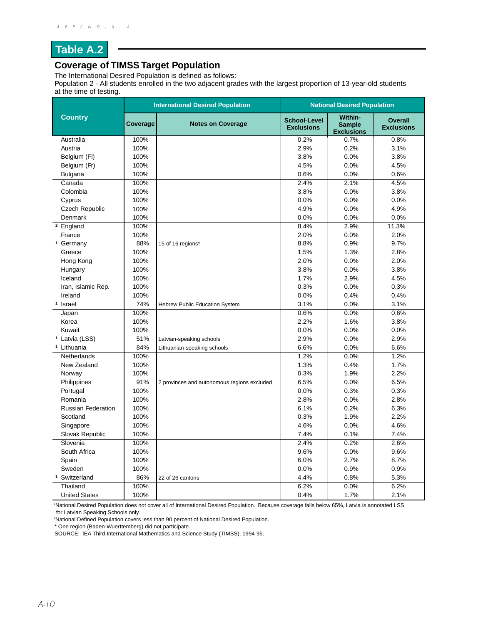### **Coverage of TIMSS Target Population**

The International Desired Population is defined as follows:

Population 2 - All students enrolled in the two adjacent grades with the largest proportion of 13-year-old students at the time of testing.

|                           |          | <b>International Desired Population</b>     | <b>National Desired Population</b>       |                                               |                                     |  |  |
|---------------------------|----------|---------------------------------------------|------------------------------------------|-----------------------------------------------|-------------------------------------|--|--|
| <b>Country</b>            | Coverage | <b>Notes on Coverage</b>                    | <b>School-Level</b><br><b>Exclusions</b> | Within-<br><b>Sample</b><br><b>Exclusions</b> | <b>Overall</b><br><b>Exclusions</b> |  |  |
| Australia                 | 100%     |                                             | 0.2%                                     | 0.7%                                          | 0.8%                                |  |  |
| Austria                   | 100%     |                                             | 2.9%                                     | 0.2%                                          | 3.1%                                |  |  |
| Belgium (FI)              | 100%     |                                             | 3.8%                                     | 0.0%                                          | 3.8%                                |  |  |
| Belgium (Fr)              | 100%     |                                             | 4.5%                                     | 0.0%                                          | 4.5%                                |  |  |
| <b>Bulgaria</b>           | 100%     |                                             | 0.6%                                     | 0.0%                                          | 0.6%                                |  |  |
| Canada                    | 100%     |                                             | 2.4%                                     | 2.1%                                          | 4.5%                                |  |  |
| Colombia                  | 100%     |                                             | 3.8%                                     | 0.0%                                          | 3.8%                                |  |  |
| Cyprus                    | 100%     |                                             | 0.0%                                     | 0.0%                                          | 0.0%                                |  |  |
| <b>Czech Republic</b>     | 100%     |                                             | 4.9%                                     | 0.0%                                          | 4.9%                                |  |  |
| Denmark                   | 100%     |                                             | 0.0%                                     | 0.0%                                          | 0.0%                                |  |  |
| <sup>2</sup> England      | 100%     |                                             | 8.4%                                     | 2.9%                                          | 11.3%                               |  |  |
| France                    | 100%     |                                             | 2.0%                                     | 0.0%                                          | 2.0%                                |  |  |
| <sup>1</sup> Germany      | 88%      | 15 of 16 regions*                           | 8.8%                                     | 0.9%                                          | 9.7%                                |  |  |
| Greece                    | 100%     |                                             | 1.5%                                     | 1.3%                                          | 2.8%                                |  |  |
| Hong Kong                 | 100%     |                                             | 2.0%                                     | 0.0%                                          | 2.0%                                |  |  |
| Hungary                   | 100%     |                                             | 3.8%                                     | 0.0%                                          | 3.8%                                |  |  |
| Iceland                   | 100%     |                                             | 1.7%                                     | 2.9%                                          | 4.5%                                |  |  |
| Iran, Islamic Rep.        | 100%     |                                             | 0.3%                                     | 0.0%                                          | 0.3%                                |  |  |
| Ireland                   | 100%     |                                             | 0.0%                                     | 0.4%                                          | 0.4%                                |  |  |
| <sup>1</sup> Israel       | 74%      | Hebrew Public Education System              | 3.1%                                     | 0.0%                                          | 3.1%                                |  |  |
| Japan                     | 100%     |                                             | 0.6%                                     | 0.0%                                          | 0.6%                                |  |  |
| Korea                     | 100%     |                                             | 2.2%                                     | 1.6%                                          | 3.8%                                |  |  |
| Kuwait                    | 100%     |                                             | 0.0%                                     | 0.0%                                          | 0.0%                                |  |  |
| <sup>1</sup> Latvia (LSS) | 51%      | Latvian-speaking schools                    | 2.9%                                     | 0.0%                                          | 2.9%                                |  |  |
| <sup>1</sup> Lithuania    | 84%      | Lithuanian-speaking schools                 | 6.6%                                     | 0.0%                                          | 6.6%                                |  |  |
| Netherlands               | 100%     |                                             | 1.2%                                     | 0.0%                                          | 1.2%                                |  |  |
| New Zealand               | 100%     |                                             | 1.3%                                     | 0.4%                                          | 1.7%                                |  |  |
| Norway                    | 100%     |                                             | 0.3%                                     | 1.9%                                          | 2.2%                                |  |  |
| Philippines               | 91%      | 2 provinces and autonomous regions excluded | 6.5%                                     | 0.0%                                          | 6.5%                                |  |  |
| Portugal                  | 100%     |                                             | 0.0%                                     | 0.3%                                          | 0.3%                                |  |  |
| Romania                   | 100%     |                                             | 2.8%                                     | 0.0%                                          | 2.8%                                |  |  |
| <b>Russian Federation</b> | 100%     |                                             | 6.1%                                     | 0.2%                                          | 6.3%                                |  |  |
| Scotland                  | 100%     |                                             | 0.3%                                     | 1.9%                                          | 2.2%                                |  |  |
| Singapore                 | 100%     |                                             | 4.6%                                     | 0.0%                                          | 4.6%                                |  |  |
| Slovak Republic           | 100%     |                                             | 7.4%                                     | 0.1%                                          | 7.4%                                |  |  |
| Slovenia                  | 100%     |                                             | 2.4%                                     | 0.2%                                          | 2.6%                                |  |  |
| South Africa              | 100%     |                                             | 9.6%                                     | 0.0%                                          | 9.6%                                |  |  |
| Spain                     | 100%     |                                             | 6.0%                                     | 2.7%                                          | 8.7%                                |  |  |
| Sweden                    | 100%     |                                             | 0.0%                                     | 0.9%                                          | 0.9%                                |  |  |
| Switzerland               | 86%      | 22 of 26 cantons                            | 4.4%                                     | 0.8%                                          | 5.3%                                |  |  |
| Thailand                  | 100%     |                                             | 6.2%                                     | 0.0%                                          | 6.2%                                |  |  |
| <b>United States</b>      | 100%     |                                             | 0.4%                                     | 1.7%                                          | 2.1%                                |  |  |

1 National Desired Population does not cover all of International Desired Population. Because coverage falls below 65%, Latvia is annotated LSS for Latvian Speaking Schools only.

<sup>2</sup>National Defined Population covers less than 90 percent of National Desired Population.

\* One region (Baden-Wuerttemberg) did not participate.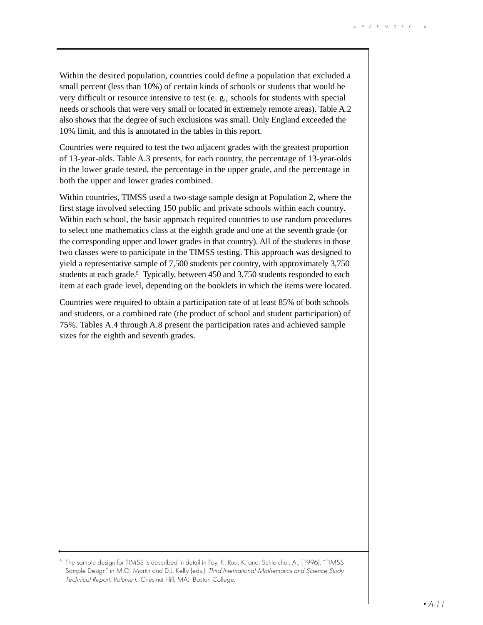Within the desired population, countries could define a population that excluded a small percent (less than 10%) of certain kinds of schools or students that would be very difficult or resource intensive to test (e. g., schools for students with special needs or schools that were very small or located in extremely remote areas). Table A.2 also shows that the degree of such exclusions was small. Only England exceeded the 10% limit, and this is annotated in the tables in this report.

Countries were required to test the two adjacent grades with the greatest proportion of 13-year-olds. Table A.3 presents, for each country, the percentage of 13-year-olds in the lower grade tested, the percentage in the upper grade, and the percentage in both the upper and lower grades combined.

Within countries, TIMSS used a two-stage sample design at Population 2, where the first stage involved selecting 150 public and private schools within each country. Within each school, the basic approach required countries to use random procedures to select one mathematics class at the eighth grade and one at the seventh grade (or the corresponding upper and lower grades in that country). All of the students in those two classes were to participate in the TIMSS testing. This approach was designed to yield a representative sample of 7,500 students per country, with approximately 3,750 students at each grade.<sup>9</sup> Typically, between 450 and 3,750 students responded to each item at each grade level, depending on the booklets in which the items were located.

Countries were required to obtain a participation rate of at least 85% of both schools and students, or a combined rate (the product of school and student participation) of 75%. Tables A.4 through A.8 present the participation rates and achieved sample sizes for the eighth and seventh grades.

<sup>9</sup> The sample design for TIMSS is described in detail in Foy, P., Rust, K. and, Schleicher, A., (1996). "TIMSS Sample Design" in M.O. Martin and D.L. Kelly (eds.), Third International Mathematics and Science Study Technical Report, Volume I. Chestnut Hill, MA: Boston College.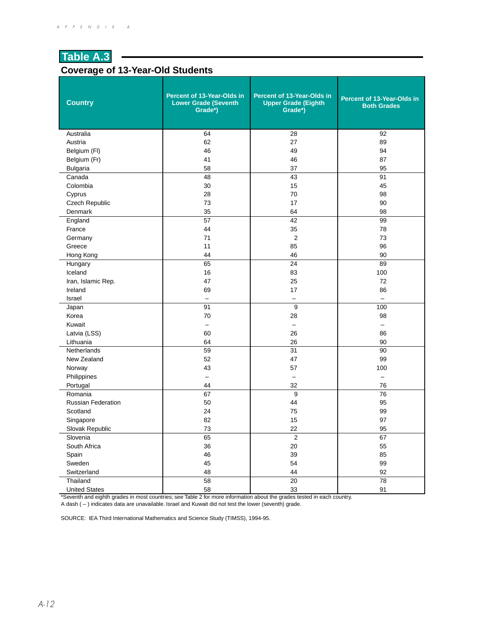### **Coverage of 13-Year-Old Students**

| <b>Country</b>            | Percent of 13-Year-Olds in<br><b>Lower Grade (Seventh</b><br>Grade*) | Percent of 13-Year-Olds in<br><b>Upper Grade (Eighth</b><br>Grade*) | Percent of 13-Year-Olds in<br><b>Both Grades</b> |
|---------------------------|----------------------------------------------------------------------|---------------------------------------------------------------------|--------------------------------------------------|
| Australia                 | 64                                                                   | 28                                                                  | 92                                               |
| Austria                   | 62                                                                   | 27                                                                  | 89                                               |
| Belgium (FI)              | 46                                                                   | 49                                                                  | 94                                               |
| Belgium (Fr)              | 41                                                                   | 46                                                                  | 87                                               |
| <b>Bulgaria</b>           | 58                                                                   | 37                                                                  | 95                                               |
| Canada                    | 48                                                                   | 43                                                                  | 91                                               |
| Colombia                  | 30                                                                   | 15                                                                  | 45                                               |
| Cyprus                    | 28                                                                   | 70                                                                  | 98                                               |
| Czech Republic            | 73                                                                   | 17                                                                  | 90                                               |
| Denmark                   | 35                                                                   | 64                                                                  | 98                                               |
| England                   | 57                                                                   | 42                                                                  | 99                                               |
| France                    | 44                                                                   | 35                                                                  | 78                                               |
| Germany                   | 71                                                                   | $\mathbf 2$                                                         | 73                                               |
| Greece                    | 11                                                                   | 85                                                                  | 96                                               |
| Hong Kong                 | 44                                                                   | 46                                                                  | 90                                               |
| Hungary                   | 65                                                                   | 24                                                                  | 89                                               |
| Iceland                   | 16                                                                   | 83                                                                  | 100                                              |
| Iran, Islamic Rep.        | 47                                                                   | 25                                                                  | 72                                               |
| Ireland                   | 69                                                                   | 17                                                                  | 86                                               |
| Israel                    | $\overline{\phantom{m}}$                                             | $\overline{\phantom{0}}$                                            | $\equiv$                                         |
| Japan                     | 91                                                                   | 9                                                                   | 100                                              |
| Korea                     | 70                                                                   | 28                                                                  | 98                                               |
| Kuwait                    | $\overline{\phantom{m}}$                                             | $\overline{\phantom{0}}$                                            | -                                                |
| Latvia (LSS)              | 60                                                                   | 26                                                                  | 86                                               |
| Lithuania                 | 64                                                                   | 26                                                                  | 90                                               |
| Netherlands               | 59                                                                   | 31                                                                  | 90                                               |
| New Zealand               | 52                                                                   | 47                                                                  | 99                                               |
| Norway                    | 43                                                                   | 57                                                                  | 100                                              |
| Philippines               | $\overline{\phantom{m}}$                                             | $\overline{\phantom{0}}$                                            | ÷.                                               |
| Portugal                  | 44                                                                   | 32                                                                  | 76                                               |
| Romania                   | 67                                                                   | 9                                                                   | 76                                               |
| <b>Russian Federation</b> | 50                                                                   | 44                                                                  | 95                                               |
| Scotland                  | 24                                                                   | 75                                                                  | 99                                               |
| Singapore                 | 82                                                                   | 15                                                                  | 97                                               |
| Slovak Republic           | 73                                                                   | 22                                                                  | 95                                               |
| Slovenia                  | 65                                                                   | $\sqrt{2}$                                                          | 67                                               |
| South Africa              | 36                                                                   | 20                                                                  | 55                                               |
| Spain                     | 46                                                                   | 39                                                                  | 85                                               |
| Sweden                    | 45                                                                   | 54                                                                  | 99                                               |
| Switzerland               | 48                                                                   | 44                                                                  | 92                                               |
| Thailand                  | 58                                                                   | 20                                                                  | 78                                               |
| <b>United States</b>      | 58                                                                   | 33                                                                  | 91                                               |

\*Seventh and eighth grades in most countries; see Table 2 for more information about the grades tested in each country. A dash ( – ) indicates data are unavailable. Israel and Kuwait did not test the lower (seventh) grade.

SOURCE: IEA Third International Mathematics and Science Study (TIMSS), 1994-95.

A-12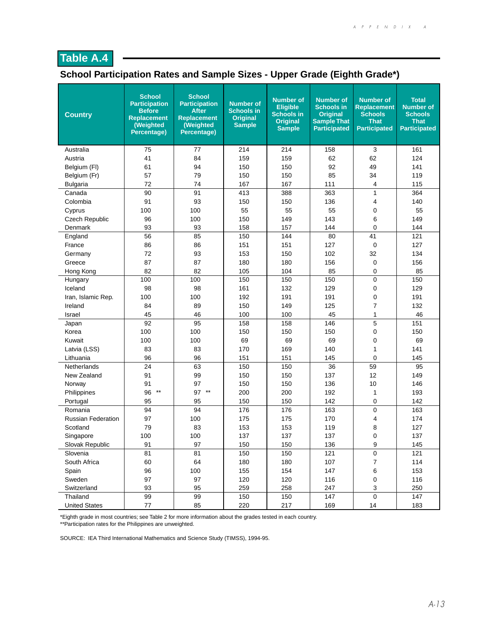### **School Participation Rates and Sample Sizes - Upper Grade (Eighth Grade\*)**

| <b>Country</b>            | <b>School</b><br><b>Participation</b><br><b>Before</b><br><b>Replacement</b><br>(Weighted<br>Percentage) | <b>School</b><br><b>Participation</b><br><b>After</b><br><b>Replacement</b><br>(Weighted<br>Percentage) | <b>Number of</b><br><b>Schools in</b><br><b>Original</b><br><b>Sample</b> | <b>Number of</b><br><b>Eligible</b><br><b>Schools in</b><br><b>Original</b><br><b>Sample</b> | <b>Number of</b><br><b>Schools in</b><br><b>Original</b><br><b>Sample That</b><br><b>Participated</b> | <b>Number of</b><br><b>Replacement</b><br><b>Schools</b><br><b>That</b><br><b>Participated</b> | <b>Total</b><br><b>Number of</b><br><b>Schools</b><br><b>That</b><br><b>Participated</b> |
|---------------------------|----------------------------------------------------------------------------------------------------------|---------------------------------------------------------------------------------------------------------|---------------------------------------------------------------------------|----------------------------------------------------------------------------------------------|-------------------------------------------------------------------------------------------------------|------------------------------------------------------------------------------------------------|------------------------------------------------------------------------------------------|
| Australia                 | 75                                                                                                       | 77                                                                                                      | 214                                                                       | 214                                                                                          | 158                                                                                                   | 3                                                                                              | 161                                                                                      |
| Austria                   | 41                                                                                                       | 84                                                                                                      | 159                                                                       | 159                                                                                          | 62                                                                                                    | 62                                                                                             | 124                                                                                      |
| Belgium (FI)              | 61                                                                                                       | 94                                                                                                      | 150                                                                       | 150                                                                                          | 92                                                                                                    | 49                                                                                             | 141                                                                                      |
| Belgium (Fr)              | 57                                                                                                       | 79                                                                                                      | 150                                                                       | 150                                                                                          | 85                                                                                                    | 34                                                                                             | 119                                                                                      |
| <b>Bulgaria</b>           | 72                                                                                                       | 74                                                                                                      | 167                                                                       | 167                                                                                          | 111                                                                                                   | 4                                                                                              | 115                                                                                      |
| Canada                    | 90                                                                                                       | 91                                                                                                      | 413                                                                       | 388                                                                                          | 363                                                                                                   | 1                                                                                              | 364                                                                                      |
| Colombia                  | 91                                                                                                       | 93                                                                                                      | 150                                                                       | 150                                                                                          | 136                                                                                                   | 4                                                                                              | 140                                                                                      |
| Cyprus                    | 100                                                                                                      | 100                                                                                                     | 55                                                                        | 55                                                                                           | 55                                                                                                    | $\mathbf 0$                                                                                    | 55                                                                                       |
| Czech Republic            | 96                                                                                                       | 100                                                                                                     | 150                                                                       | 149                                                                                          | 143                                                                                                   | 6                                                                                              | 149                                                                                      |
| Denmark                   | 93                                                                                                       | 93                                                                                                      | 158                                                                       | 157                                                                                          | 144                                                                                                   | 0                                                                                              | 144                                                                                      |
| England                   | 56                                                                                                       | 85                                                                                                      | 150                                                                       | 144                                                                                          | 80                                                                                                    | 41                                                                                             | 121                                                                                      |
| France                    | 86                                                                                                       | 86                                                                                                      | 151                                                                       | 151                                                                                          | 127                                                                                                   | 0                                                                                              | 127                                                                                      |
| Germany                   | 72                                                                                                       | 93                                                                                                      | 153                                                                       | 150                                                                                          | 102                                                                                                   | 32                                                                                             | 134                                                                                      |
| Greece                    | 87                                                                                                       | 87                                                                                                      | 180                                                                       | 180                                                                                          | 156                                                                                                   | 0                                                                                              | 156                                                                                      |
| Hong Kong                 | 82                                                                                                       | 82                                                                                                      | 105                                                                       | 104                                                                                          | 85                                                                                                    | 0                                                                                              | 85                                                                                       |
| Hungary                   | 100                                                                                                      | 100                                                                                                     | 150                                                                       | 150                                                                                          | 150                                                                                                   | $\mathbf 0$                                                                                    | 150                                                                                      |
| Iceland                   | 98                                                                                                       | 98                                                                                                      | 161                                                                       | 132                                                                                          | 129                                                                                                   | $\mathbf 0$                                                                                    | 129                                                                                      |
| Iran, Islamic Rep.        | 100                                                                                                      | 100                                                                                                     | 192                                                                       | 191                                                                                          | 191                                                                                                   | 0                                                                                              | 191                                                                                      |
| Ireland                   | 84                                                                                                       | 89                                                                                                      | 150                                                                       | 149                                                                                          | 125                                                                                                   | 7                                                                                              | 132                                                                                      |
| Israel                    | 45                                                                                                       | 46                                                                                                      | 100                                                                       | 100                                                                                          | 45                                                                                                    | 1                                                                                              | 46                                                                                       |
| Japan                     | 92                                                                                                       | 95                                                                                                      | 158                                                                       | 158                                                                                          | 146                                                                                                   | 5                                                                                              | 151                                                                                      |
| Korea                     | 100                                                                                                      | 100                                                                                                     | 150                                                                       | 150                                                                                          | 150                                                                                                   | 0                                                                                              | 150                                                                                      |
| Kuwait                    | 100                                                                                                      | 100                                                                                                     | 69                                                                        | 69                                                                                           | 69                                                                                                    | $\mathbf 0$                                                                                    | 69                                                                                       |
| Latvia (LSS)              | 83                                                                                                       | 83                                                                                                      | 170                                                                       | 169                                                                                          | 140                                                                                                   | 1                                                                                              | 141                                                                                      |
| Lithuania                 | 96                                                                                                       | 96                                                                                                      | 151                                                                       | 151                                                                                          | 145                                                                                                   | $\mathbf 0$                                                                                    | 145                                                                                      |
| Netherlands               | 24                                                                                                       | 63                                                                                                      | 150                                                                       | 150                                                                                          | 36                                                                                                    | 59                                                                                             | 95                                                                                       |
| New Zealand               | 91                                                                                                       | 99                                                                                                      | 150                                                                       | 150                                                                                          | 137                                                                                                   | 12                                                                                             | 149                                                                                      |
| Norway                    | 91                                                                                                       | 97                                                                                                      | 150                                                                       | 150                                                                                          | 136                                                                                                   | 10                                                                                             | 146                                                                                      |
| Philippines               | $***$<br>96                                                                                              | 97<br>$***$                                                                                             | 200                                                                       | 200                                                                                          | 192                                                                                                   | 1                                                                                              | 193                                                                                      |
| Portugal                  | 95                                                                                                       | 95                                                                                                      | 150                                                                       | 150                                                                                          | 142                                                                                                   | 0                                                                                              | 142                                                                                      |
| Romania                   | 94                                                                                                       | 94                                                                                                      | 176                                                                       | 176                                                                                          | 163                                                                                                   | $\mathbf 0$                                                                                    | 163                                                                                      |
| <b>Russian Federation</b> | 97                                                                                                       | 100                                                                                                     | 175                                                                       | 175                                                                                          | 170                                                                                                   | 4                                                                                              | 174                                                                                      |
| Scotland                  | 79                                                                                                       | 83                                                                                                      | 153                                                                       | 153                                                                                          | 119                                                                                                   | 8                                                                                              | 127                                                                                      |
| Singapore                 | 100                                                                                                      | 100                                                                                                     | 137                                                                       | 137                                                                                          | 137                                                                                                   | 0                                                                                              | 137                                                                                      |
| Slovak Republic           | 91                                                                                                       | 97                                                                                                      | 150                                                                       | 150                                                                                          | 136                                                                                                   | 9                                                                                              | 145                                                                                      |
| Slovenia                  | 81                                                                                                       | 81                                                                                                      | 150                                                                       | 150                                                                                          | 121                                                                                                   | 0                                                                                              | 121                                                                                      |
| South Africa              | 60                                                                                                       | 64                                                                                                      | 180                                                                       | 180                                                                                          | 107                                                                                                   | $\boldsymbol{7}$                                                                               | 114                                                                                      |
| Spain                     | 96                                                                                                       | 100                                                                                                     | 155                                                                       | 154                                                                                          | 147                                                                                                   | 6                                                                                              | 153                                                                                      |
| Sweden                    | 97                                                                                                       | 97                                                                                                      | 120                                                                       | 120                                                                                          | 116                                                                                                   | 0                                                                                              | 116                                                                                      |
| Switzerland               | 93                                                                                                       | 95                                                                                                      | 259                                                                       | 258                                                                                          | 247                                                                                                   | 3                                                                                              | 250                                                                                      |
| Thailand                  | 99                                                                                                       | 99                                                                                                      | 150                                                                       | 150                                                                                          | 147                                                                                                   | $\mathbf 0$                                                                                    | 147                                                                                      |
| <b>United States</b>      | $77\,$                                                                                                   | 85                                                                                                      | 220                                                                       | 217                                                                                          | 169                                                                                                   | 14                                                                                             | 183                                                                                      |

\*Eighth grade in most countries; see Table 2 for more information about the grades tested in each country.

\*\*Participation rates for the Philippines are unweighted.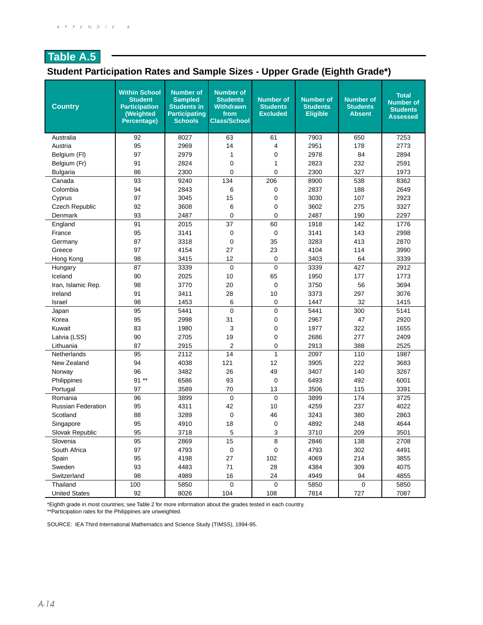# **Student Participation Rates and Sample Sizes - Upper Grade (Eighth Grade\*)**

| <b>Country</b>        | <b>Within School</b><br><b>Student</b><br><b>Participation</b><br>(Weighted<br>Percentage) | <b>Number of</b><br><b>Sampled</b><br><b>Students in</b><br><b>Participating</b><br><b>Schools</b> | <b>Number of</b><br><b>Students</b><br><b>Withdrawn</b><br>from<br><b>Class/School</b> | <b>Number of</b><br><b>Students</b><br><b>Excluded</b> | <b>Number of</b><br><b>Students</b><br><b>Eligible</b> | <b>Number of</b><br><b>Students</b><br><b>Absent</b> | <b>Total</b><br><b>Number of</b><br><b>Students</b><br><b>Assessed</b> |
|-----------------------|--------------------------------------------------------------------------------------------|----------------------------------------------------------------------------------------------------|----------------------------------------------------------------------------------------|--------------------------------------------------------|--------------------------------------------------------|------------------------------------------------------|------------------------------------------------------------------------|
| Australia             | 92                                                                                         | 8027                                                                                               | 63                                                                                     | 61                                                     | 7903                                                   | 650                                                  | 7253                                                                   |
| Austria               | 95                                                                                         | 2969                                                                                               | 14                                                                                     | 4                                                      | 2951                                                   | 178                                                  | 2773                                                                   |
| Belgium (FI)          | 97                                                                                         | 2979                                                                                               | 1                                                                                      | 0                                                      | 2978                                                   | 84                                                   | 2894                                                                   |
| Belgium (Fr)          | 91                                                                                         | 2824                                                                                               | $\mathbf 0$                                                                            | 1                                                      | 2823                                                   | 232                                                  | 2591                                                                   |
| <b>Bulgaria</b>       | 86                                                                                         | 2300                                                                                               | 0                                                                                      | $\mathbf 0$                                            | 2300                                                   | 327                                                  | 1973                                                                   |
| Canada                | 93                                                                                         | 9240                                                                                               | 134                                                                                    | 206                                                    | 8900                                                   | 538                                                  | 8362                                                                   |
| Colombia              | 94                                                                                         | 2843                                                                                               | 6                                                                                      | 0                                                      | 2837                                                   | 188                                                  | 2649                                                                   |
| Cyprus                | 97                                                                                         | 3045                                                                                               | 15                                                                                     | 0                                                      | 3030                                                   | 107                                                  | 2923                                                                   |
| <b>Czech Republic</b> | 92                                                                                         | 3608                                                                                               | 6                                                                                      | 0                                                      | 3602                                                   | 275                                                  | 3327                                                                   |
| Denmark               | 93                                                                                         | 2487                                                                                               | $\mathbf 0$                                                                            | $\mathbf 0$                                            | 2487                                                   | 190                                                  | 2297                                                                   |
| England               | 91                                                                                         | 2015                                                                                               | 37                                                                                     | 60                                                     | 1918                                                   | 142                                                  | 1776                                                                   |
| France                | 95                                                                                         | 3141                                                                                               | $\mathbf 0$                                                                            | $\mathbf 0$                                            | 3141                                                   | 143                                                  | 2998                                                                   |
| Germany               | 87                                                                                         | 3318                                                                                               | $\mathbf 0$                                                                            | 35                                                     | 3283                                                   | 413                                                  | 2870                                                                   |
| Greece                | 97                                                                                         | 4154                                                                                               | 27                                                                                     | 23                                                     | 4104                                                   | 114                                                  | 3990                                                                   |
| Hong Kong             | 98                                                                                         | 3415                                                                                               | 12                                                                                     | $\mathbf 0$                                            | 3403                                                   | 64                                                   | 3339                                                                   |
| Hungary               | 87                                                                                         | 3339                                                                                               | $\mathbf 0$                                                                            | $\mathbf 0$                                            | 3339                                                   | 427                                                  | 2912                                                                   |
| Iceland               | 90                                                                                         | 2025                                                                                               | 10                                                                                     | 65                                                     | 1950                                                   | 177                                                  | 1773                                                                   |
| Iran, Islamic Rep.    | 98                                                                                         | 3770                                                                                               | 20                                                                                     | 0                                                      | 3750                                                   | 56                                                   | 3694                                                                   |
| Ireland               | 91                                                                                         | 3411                                                                                               | 28                                                                                     | 10                                                     | 3373                                                   | 297                                                  | 3076                                                                   |
| Israel                | 98                                                                                         | 1453                                                                                               | 6                                                                                      | $\mathbf 0$                                            | 1447                                                   | 32                                                   | 1415                                                                   |
| Japan                 | 95                                                                                         | 5441                                                                                               | $\mathbf 0$                                                                            | $\mathbf 0$                                            | 5441                                                   | 300                                                  | 5141                                                                   |
| Korea                 | 95                                                                                         | 2998                                                                                               | 31                                                                                     | 0                                                      | 2967                                                   | 47                                                   | 2920                                                                   |
| Kuwait                | 83                                                                                         | 1980                                                                                               | 3                                                                                      | $\mathbf 0$                                            | 1977                                                   | 322                                                  | 1655                                                                   |
| Latvia (LSS)          | 90                                                                                         | 2705                                                                                               | 19                                                                                     | $\mathbf 0$                                            | 2686                                                   | 277                                                  | 2409                                                                   |
| Lithuania             | 87                                                                                         | 2915                                                                                               | $\overline{2}$                                                                         | $\mathbf 0$                                            | 2913                                                   | 388                                                  | 2525                                                                   |
| <b>Netherlands</b>    | 95                                                                                         | 2112                                                                                               | 14                                                                                     | $\mathbf{1}$                                           | 2097                                                   | 110                                                  | 1987                                                                   |
| New Zealand           | 94                                                                                         | 4038                                                                                               | 121                                                                                    | 12                                                     | 3905                                                   | 222                                                  | 3683                                                                   |
| Norway                | 96                                                                                         | 3482                                                                                               | 26                                                                                     | 49                                                     | 3407                                                   | 140                                                  | 3267                                                                   |
| Philippines           | $91**$                                                                                     | 6586                                                                                               | 93                                                                                     | $\mathbf 0$                                            | 6493                                                   | 492                                                  | 6001                                                                   |
| Portugal              | 97                                                                                         | 3589                                                                                               | 70                                                                                     | 13                                                     | 3506                                                   | 115                                                  | 3391                                                                   |
| Romania               | 96                                                                                         | 3899                                                                                               | $\mathbf 0$                                                                            | $\mathbf 0$                                            | 3899                                                   | 174                                                  | 3725                                                                   |
| Russian Federation    | 95                                                                                         | 4311                                                                                               | 42                                                                                     | 10                                                     | 4259                                                   | 237                                                  | 4022                                                                   |
| Scotland              | 88                                                                                         | 3289                                                                                               | 0                                                                                      | 46                                                     | 3243                                                   | 380                                                  | 2863                                                                   |
| Singapore             | 95                                                                                         | 4910                                                                                               | 18                                                                                     | 0                                                      | 4892                                                   | 248                                                  | 4644                                                                   |
| Slovak Republic       | 95                                                                                         | 3718                                                                                               | 5                                                                                      | 3                                                      | 3710                                                   | 209                                                  | 3501                                                                   |
| Slovenia              | 95                                                                                         | 2869                                                                                               | 15                                                                                     | 8                                                      | 2846                                                   | 138                                                  | 2708                                                                   |
| South Africa          | 97                                                                                         | 4793                                                                                               | 0                                                                                      | 0                                                      | 4793                                                   | 302                                                  | 4491                                                                   |
| Spain                 | 95                                                                                         | 4198                                                                                               | 27                                                                                     | 102                                                    | 4069                                                   | 214                                                  | 3855                                                                   |
| Sweden                | 93                                                                                         | 4483                                                                                               | 71                                                                                     | 28                                                     | 4384                                                   | 309                                                  | 4075                                                                   |
| Switzerland           | 98                                                                                         | 4989                                                                                               | 16                                                                                     | 24                                                     | 4949                                                   | 94                                                   | 4855                                                                   |
| Thailand              | 100                                                                                        | 5850                                                                                               | $\mathbf 0$                                                                            | 0                                                      | 5850                                                   | 0                                                    | 5850                                                                   |
| <b>United States</b>  | 92                                                                                         | 8026                                                                                               | 104                                                                                    | 108                                                    | 7814                                                   | 727                                                  | 7087                                                                   |

\*Eighth grade in most countries; see Table 2 for more information about the grades tested in each country.

\*\*Participation rates for the Philippines are unweighted.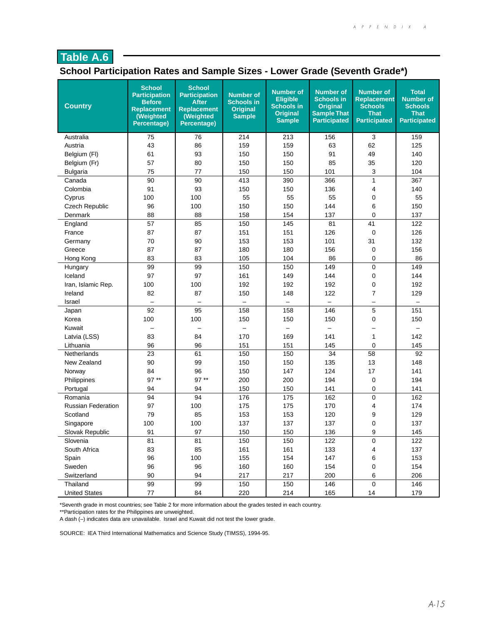### **School Participation Rates and Sample Sizes - Lower Grade (Seventh Grade\*)**

| <b>Country</b>            | <b>School</b><br><b>Participation</b><br><b>Before</b><br><b>Replacement</b><br>(Weighted<br>Percentage) | <b>School</b><br><b>Participation</b><br><b>After</b><br><b>Replacement</b><br>(Weighted<br>Percentage) | <b>Number of</b><br><b>Schools in</b><br><b>Original</b><br><b>Sample</b> | <b>Number of</b><br><b>Eligible</b><br><b>Schools in</b><br><b>Original</b><br><b>Sample</b> | <b>Number of</b><br><b>Schools in</b><br>Original<br><b>Sample That</b><br><b>Participated</b> | <b>Number of</b><br><b>Replacement</b><br><b>Schools</b><br><b>That</b><br><b>Participated</b> | <b>Total</b><br><b>Number of</b><br><b>Schools</b><br><b>That</b><br><b>Participated</b> |
|---------------------------|----------------------------------------------------------------------------------------------------------|---------------------------------------------------------------------------------------------------------|---------------------------------------------------------------------------|----------------------------------------------------------------------------------------------|------------------------------------------------------------------------------------------------|------------------------------------------------------------------------------------------------|------------------------------------------------------------------------------------------|
| Australia                 | 75                                                                                                       | 76                                                                                                      | 214                                                                       | 213                                                                                          | 156                                                                                            | 3                                                                                              | 159                                                                                      |
| Austria                   | 43                                                                                                       | 86                                                                                                      | 159                                                                       | 159                                                                                          | 63                                                                                             | 62                                                                                             | 125                                                                                      |
| Belgium (FI)              | 61                                                                                                       | 93                                                                                                      | 150                                                                       | 150                                                                                          | 91                                                                                             | 49                                                                                             | 140                                                                                      |
| Belgium (Fr)              | 57                                                                                                       | 80                                                                                                      | 150                                                                       | 150                                                                                          | 85                                                                                             | 35                                                                                             | 120                                                                                      |
| Bulgaria                  | 75                                                                                                       | 77                                                                                                      | 150                                                                       | 150                                                                                          | 101                                                                                            | 3                                                                                              | 104                                                                                      |
| Canada                    | 90                                                                                                       | 90                                                                                                      | 413                                                                       | 390                                                                                          | 366                                                                                            | 1                                                                                              | 367                                                                                      |
| Colombia                  | 91                                                                                                       | 93                                                                                                      | 150                                                                       | 150                                                                                          | 136                                                                                            | 4                                                                                              | 140                                                                                      |
| Cyprus                    | 100                                                                                                      | 100                                                                                                     | 55                                                                        | 55                                                                                           | 55                                                                                             | 0                                                                                              | 55                                                                                       |
| Czech Republic            | 96                                                                                                       | 100                                                                                                     | 150                                                                       | 150                                                                                          | 144                                                                                            | 6                                                                                              | 150                                                                                      |
| Denmark                   | 88                                                                                                       | 88                                                                                                      | 158                                                                       | 154                                                                                          | 137                                                                                            | 0                                                                                              | 137                                                                                      |
| England                   | 57                                                                                                       | 85                                                                                                      | 150                                                                       | 145                                                                                          | 81                                                                                             | 41                                                                                             | 122                                                                                      |
| France                    | 87                                                                                                       | 87                                                                                                      | 151                                                                       | 151                                                                                          | 126                                                                                            | $\mathbf 0$                                                                                    | 126                                                                                      |
| Germany                   | 70                                                                                                       | 90                                                                                                      | 153                                                                       | 153                                                                                          | 101                                                                                            | 31                                                                                             | 132                                                                                      |
| Greece                    | 87                                                                                                       | 87                                                                                                      | 180                                                                       | 180                                                                                          | 156                                                                                            | $\mathbf 0$                                                                                    | 156                                                                                      |
| Hong Kong                 | 83                                                                                                       | 83                                                                                                      | 105                                                                       | 104                                                                                          | 86                                                                                             | 0                                                                                              | 86                                                                                       |
| Hungary                   | 99                                                                                                       | 99                                                                                                      | 150                                                                       | 150                                                                                          | 149                                                                                            | $\mathbf 0$                                                                                    | 149                                                                                      |
| Iceland                   | 97                                                                                                       | 97                                                                                                      | 161                                                                       | 149                                                                                          | 144                                                                                            | 0                                                                                              | 144                                                                                      |
| Iran, Islamic Rep.        | 100                                                                                                      | 100                                                                                                     | 192                                                                       | 192                                                                                          | 192                                                                                            | 0                                                                                              | 192                                                                                      |
| Ireland                   | 82                                                                                                       | 87                                                                                                      | 150                                                                       | 148                                                                                          | 122                                                                                            | $\overline{7}$                                                                                 | 129                                                                                      |
| Israel                    |                                                                                                          |                                                                                                         |                                                                           |                                                                                              |                                                                                                |                                                                                                |                                                                                          |
| Japan                     | 92                                                                                                       | 95                                                                                                      | 158                                                                       | 158                                                                                          | 146                                                                                            | 5                                                                                              | 151                                                                                      |
| Korea                     | 100                                                                                                      | 100                                                                                                     | 150                                                                       | 150                                                                                          | 150                                                                                            | 0                                                                                              | 150                                                                                      |
| Kuwait                    |                                                                                                          |                                                                                                         | $\qquad \qquad -$                                                         | $\overline{\phantom{0}}$                                                                     | $\qquad \qquad -$                                                                              |                                                                                                | —                                                                                        |
| Latvia (LSS)              | 83                                                                                                       | 84                                                                                                      | 170                                                                       | 169                                                                                          | 141                                                                                            | 1                                                                                              | 142                                                                                      |
| Lithuania                 | 96                                                                                                       | 96                                                                                                      | 151                                                                       | 151                                                                                          | 145                                                                                            | 0                                                                                              | 145                                                                                      |
| Netherlands               | 23                                                                                                       | 61                                                                                                      | 150                                                                       | 150                                                                                          | 34                                                                                             | 58                                                                                             | 92                                                                                       |
| New Zealand               | 90                                                                                                       | 99                                                                                                      | 150                                                                       | 150                                                                                          | 135                                                                                            | 13                                                                                             | 148                                                                                      |
| Norway                    | 84                                                                                                       | 96                                                                                                      | 150                                                                       | 147                                                                                          | 124                                                                                            | 17                                                                                             | 141                                                                                      |
| Philippines               | $97**$                                                                                                   | $97**$                                                                                                  | 200                                                                       | 200                                                                                          | 194                                                                                            | $\mathbf 0$                                                                                    | 194                                                                                      |
| Portugal                  | 94                                                                                                       | 94                                                                                                      | 150                                                                       | 150                                                                                          | 141                                                                                            | 0                                                                                              | 141                                                                                      |
| Romania                   | 94                                                                                                       | 94                                                                                                      | 176                                                                       | 175                                                                                          | 162                                                                                            | 0                                                                                              | 162                                                                                      |
| <b>Russian Federation</b> | 97                                                                                                       | 100                                                                                                     | 175                                                                       | 175                                                                                          | 170                                                                                            | 4                                                                                              | 174                                                                                      |
| Scotland                  | 79                                                                                                       | 85                                                                                                      | 153                                                                       | 153                                                                                          | 120                                                                                            | 9                                                                                              | 129                                                                                      |
| Singapore                 | 100                                                                                                      | 100                                                                                                     | 137                                                                       | 137                                                                                          | 137                                                                                            | 0                                                                                              | 137                                                                                      |
| Slovak Republic           | 91                                                                                                       | 97                                                                                                      | 150                                                                       | 150                                                                                          | 136                                                                                            | a                                                                                              | 145                                                                                      |
| Slovenia                  | 81                                                                                                       | 81                                                                                                      | 150                                                                       | 150                                                                                          | 122                                                                                            | 0                                                                                              | 122                                                                                      |
| South Africa              | 83                                                                                                       | 85                                                                                                      | 161                                                                       | 161                                                                                          | 133                                                                                            | 4                                                                                              | 137                                                                                      |
| Spain                     | 96                                                                                                       | 100                                                                                                     | 155                                                                       | 154                                                                                          | 147                                                                                            | 6                                                                                              | 153                                                                                      |
| Sweden                    | 96                                                                                                       | 96                                                                                                      | 160                                                                       | 160                                                                                          | 154                                                                                            | 0                                                                                              | 154                                                                                      |
| Switzerland               | 90                                                                                                       | 94                                                                                                      | 217                                                                       | 217                                                                                          | 200                                                                                            | 6                                                                                              | 206                                                                                      |
| Thailand                  | 99                                                                                                       | 99                                                                                                      | 150                                                                       | 150                                                                                          | 146                                                                                            | 0                                                                                              | 146                                                                                      |
| <b>United States</b>      | 77                                                                                                       | 84                                                                                                      | 220                                                                       | 214                                                                                          | 165                                                                                            | 14                                                                                             | 179                                                                                      |

\*Seventh grade in most countries; see Table 2 for more information about the grades tested in each country.

\*\*Participation rates for the Philippines are unweighted.

A dash (–) indicates data are unavailable. Israel and Kuwait did not test the lower grade.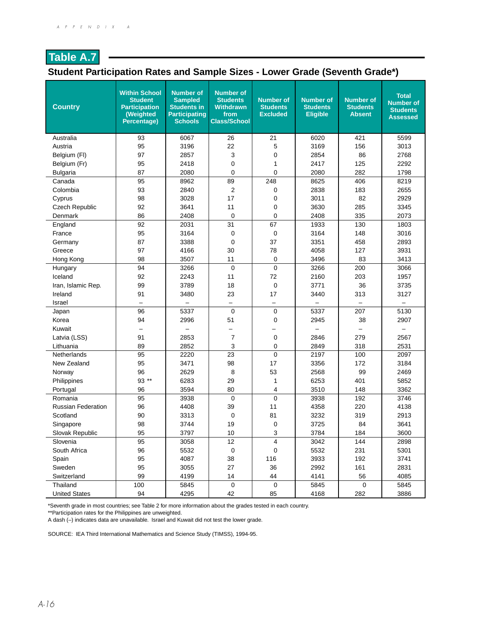### **Student Participation Rates and Sample Sizes - Lower Grade (Seventh Grade\*)**

| <b>Country</b>            | <b>Within School</b><br><b>Student</b><br><b>Participation</b><br>(Weighted<br>Percentage) | <b>Number of</b><br><b>Sampled</b><br><b>Students in</b><br><b>Participating</b><br><b>Schools</b> | <b>Number of</b><br><b>Students</b><br><b>Withdrawn</b><br>from<br><b>Class/School</b> | <b>Number of</b><br><b>Students</b><br><b>Excluded</b> | <b>Number of</b><br><b>Students</b><br><b>Eligible</b> | <b>Number of</b><br><b>Students</b><br><b>Absent</b> | <b>Total</b><br><b>Number of</b><br><b>Students</b><br>Assessed |
|---------------------------|--------------------------------------------------------------------------------------------|----------------------------------------------------------------------------------------------------|----------------------------------------------------------------------------------------|--------------------------------------------------------|--------------------------------------------------------|------------------------------------------------------|-----------------------------------------------------------------|
| Australia                 | 93                                                                                         | 6067                                                                                               | 26                                                                                     | 21                                                     | 6020                                                   | 421                                                  | 5599                                                            |
| Austria                   | 95                                                                                         | 3196                                                                                               | 22                                                                                     | 5                                                      | 3169                                                   | 156                                                  | 3013                                                            |
| Belgium (FI)              | 97                                                                                         | 2857                                                                                               | 3                                                                                      | 0                                                      | 2854                                                   | 86                                                   | 2768                                                            |
| Belgium (Fr)              | 95                                                                                         | 2418                                                                                               | 0                                                                                      | 1                                                      | 2417                                                   | 125                                                  | 2292                                                            |
| <b>Bulgaria</b>           | 87                                                                                         | 2080                                                                                               | 0                                                                                      | 0                                                      | 2080                                                   | 282                                                  | 1798                                                            |
| Canada                    | 95                                                                                         | 8962                                                                                               | 89                                                                                     | 248                                                    | 8625                                                   | 406                                                  | 8219                                                            |
| Colombia                  | 93                                                                                         | 2840                                                                                               | 2                                                                                      | 0                                                      | 2838                                                   | 183                                                  | 2655                                                            |
| Cyprus                    | 98                                                                                         | 3028                                                                                               | 17                                                                                     | 0                                                      | 3011                                                   | 82                                                   | 2929                                                            |
| <b>Czech Republic</b>     | 92                                                                                         | 3641                                                                                               | 11                                                                                     | 0                                                      | 3630                                                   | 285                                                  | 3345                                                            |
| Denmark                   | 86                                                                                         | 2408                                                                                               | 0                                                                                      | $\mathbf 0$                                            | 2408                                                   | 335                                                  | 2073                                                            |
| England                   | 92                                                                                         | 2031                                                                                               | 31                                                                                     | 67                                                     | 1933                                                   | 130                                                  | 1803                                                            |
| France                    | 95                                                                                         | 3164                                                                                               | 0                                                                                      | $\mathbf 0$                                            | 3164                                                   | 148                                                  | 3016                                                            |
| Germany                   | 87                                                                                         | 3388                                                                                               | 0                                                                                      | 37                                                     | 3351                                                   | 458                                                  | 2893                                                            |
| Greece                    | 97                                                                                         | 4166                                                                                               | 30                                                                                     | 78                                                     | 4058                                                   | 127                                                  | 3931                                                            |
| Hong Kong                 | 98                                                                                         | 3507                                                                                               | 11                                                                                     | 0                                                      | 3496                                                   | 83                                                   | 3413                                                            |
| Hungary                   | 94                                                                                         | 3266                                                                                               | 0                                                                                      | $\mathbf 0$                                            | 3266                                                   | 200                                                  | 3066                                                            |
| Iceland                   | 92                                                                                         | 2243                                                                                               | 11                                                                                     | 72                                                     | 2160                                                   | 203                                                  | 1957                                                            |
| Iran, Islamic Rep.        | 99                                                                                         | 3789                                                                                               | 18                                                                                     | $\mathbf 0$                                            | 3771                                                   | 36                                                   | 3735                                                            |
| Ireland                   | 91                                                                                         | 3480                                                                                               | 23                                                                                     | 17                                                     | 3440                                                   | 313                                                  | 3127                                                            |
| Israel                    | $\overline{\phantom{0}}$                                                                   | -                                                                                                  | $\qquad \qquad -$                                                                      | $\overline{\phantom{0}}$                               |                                                        |                                                      |                                                                 |
| Japan                     | 96                                                                                         | 5337                                                                                               | 0                                                                                      | $\mathbf 0$                                            | 5337                                                   | 207                                                  | 5130                                                            |
| Korea                     | 94                                                                                         | 2996                                                                                               | 51                                                                                     | 0                                                      | 2945                                                   | 38                                                   | 2907                                                            |
| Kuwait                    | $\overline{\phantom{0}}$                                                                   | $\overline{\phantom{0}}$                                                                           | $\qquad \qquad -$                                                                      | -                                                      |                                                        |                                                      |                                                                 |
| Latvia (LSS)              | 91                                                                                         | 2853                                                                                               | $\overline{7}$                                                                         | $\mathbf 0$                                            | 2846                                                   | 279                                                  | 2567                                                            |
| Lithuania                 | 89                                                                                         | 2852                                                                                               | 3                                                                                      | $\mathbf 0$                                            | 2849                                                   | 318                                                  | 2531                                                            |
| <b>Netherlands</b>        | 95                                                                                         | 2220                                                                                               | 23                                                                                     | $\mathbf 0$                                            | 2197                                                   | 100                                                  | 2097                                                            |
| New Zealand               | 95                                                                                         | 3471                                                                                               | 98                                                                                     | 17                                                     | 3356                                                   | 172                                                  | 3184                                                            |
| Norway                    | 96                                                                                         | 2629                                                                                               | 8                                                                                      | 53                                                     | 2568                                                   | 99                                                   | 2469                                                            |
| Philippines               | 93 **                                                                                      | 6283                                                                                               | 29                                                                                     | 1                                                      | 6253                                                   | 401                                                  | 5852                                                            |
| Portugal                  | 96                                                                                         | 3594                                                                                               | 80                                                                                     | $\overline{4}$                                         | 3510                                                   | 148                                                  | 3362                                                            |
| Romania                   | 95                                                                                         | 3938                                                                                               | $\mathbf 0$                                                                            | $\mathbf 0$                                            | 3938                                                   | 192                                                  | 3746                                                            |
| <b>Russian Federation</b> | 96                                                                                         | 4408                                                                                               | 39                                                                                     | 11                                                     | 4358                                                   | 220                                                  | 4138                                                            |
| Scotland                  | 90                                                                                         | 3313                                                                                               | 0                                                                                      | 81                                                     | 3232                                                   | 319                                                  | 2913                                                            |
| Singapore                 | 98                                                                                         | 3744                                                                                               | 19                                                                                     | 0                                                      | 3725                                                   | 84                                                   | 3641                                                            |
| Slovak Republic           | 95                                                                                         | 3797                                                                                               | $10$                                                                                   | 3                                                      | 3784                                                   | 184                                                  | 3600                                                            |
| Slovenia                  | 95                                                                                         | 3058                                                                                               | 12                                                                                     | 4                                                      | 3042                                                   | 144                                                  | 2898                                                            |
| South Africa              | 96                                                                                         | 5532                                                                                               | 0                                                                                      | 0                                                      | 5532                                                   | 231                                                  | 5301                                                            |
| Spain                     | 95                                                                                         | 4087                                                                                               | 38                                                                                     | 116                                                    | 3933                                                   | 192                                                  | 3741                                                            |
| Sweden                    | 95                                                                                         | 3055                                                                                               | 27                                                                                     | 36                                                     | 2992                                                   | 161                                                  | 2831                                                            |
| Switzerland               | 99                                                                                         | 4199                                                                                               | 14                                                                                     | 44                                                     | 4141                                                   | 56                                                   | 4085                                                            |
| Thailand                  | 100                                                                                        | 5845                                                                                               | 0                                                                                      | 0                                                      | 5845                                                   | 0                                                    | 5845                                                            |
| <b>United States</b>      | 94                                                                                         | 4295                                                                                               | 42                                                                                     | 85                                                     | 4168                                                   | 282                                                  | 3886                                                            |

\*Seventh grade in most countries; see Table 2 for more information about the grades tested in each country.

\*\*Participation rates for the Philippines are unweighted.

A dash (–) indicates data are unavailable. Israel and Kuwait did not test the lower grade.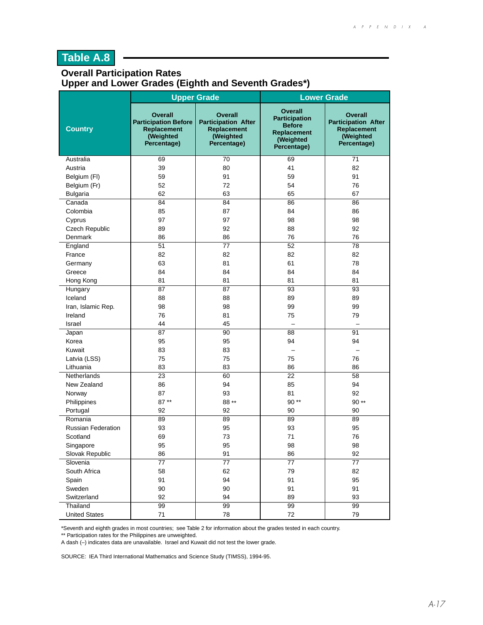#### **Overall Participation Rates Upper and Lower Grades (Eighth and Seventh Grades\*)**

|                           | <b>Upper Grade</b>                                                                       |                                                                                         | <b>Lower Grade</b>                                                                                        |                                                                                         |
|---------------------------|------------------------------------------------------------------------------------------|-----------------------------------------------------------------------------------------|-----------------------------------------------------------------------------------------------------------|-----------------------------------------------------------------------------------------|
| <b>Country</b>            | <b>Overall</b><br><b>Participation Before</b><br>Replacement<br>(Weighted<br>Percentage) | <b>Overall</b><br><b>Participation After</b><br>Replacement<br>(Weighted<br>Percentage) | <b>Overall</b><br><b>Participation</b><br><b>Before</b><br><b>Replacement</b><br>(Weighted<br>Percentage) | <b>Overall</b><br><b>Participation After</b><br>Replacement<br>(Weighted<br>Percentage) |
| Australia                 | 69                                                                                       | $\overline{70}$                                                                         | 69                                                                                                        | $\overline{71}$                                                                         |
| Austria                   | 39                                                                                       | 80                                                                                      | 41                                                                                                        | 82                                                                                      |
| Belgium (FI)              | 59                                                                                       | 91                                                                                      | 59                                                                                                        | 91                                                                                      |
| Belgium (Fr)              | 52                                                                                       | 72                                                                                      | 54                                                                                                        | 76                                                                                      |
| <b>Bulgaria</b>           | 62                                                                                       | 63                                                                                      | 65                                                                                                        | 67                                                                                      |
| Canada                    | 84                                                                                       | 84                                                                                      | 86                                                                                                        | 86                                                                                      |
| Colombia                  | 85                                                                                       | 87                                                                                      | 84                                                                                                        | 86                                                                                      |
| Cyprus                    | 97                                                                                       | 97                                                                                      | 98                                                                                                        | 98                                                                                      |
| Czech Republic            | 89                                                                                       | 92                                                                                      | 88                                                                                                        | 92                                                                                      |
| Denmark                   | 86                                                                                       | 86                                                                                      | 76                                                                                                        | 76                                                                                      |
| England                   | 51                                                                                       | $\overline{77}$                                                                         | 52                                                                                                        | 78                                                                                      |
| France                    | 82                                                                                       | 82                                                                                      | 82                                                                                                        | 82                                                                                      |
| Germany                   | 63                                                                                       | 81                                                                                      | 61                                                                                                        | 78                                                                                      |
| Greece                    | 84                                                                                       | 84                                                                                      | 84                                                                                                        | 84                                                                                      |
| Hong Kong                 | 81                                                                                       | 81                                                                                      | 81                                                                                                        | 81                                                                                      |
| Hungary                   | 87                                                                                       | 87                                                                                      | 93                                                                                                        | 93                                                                                      |
| Iceland                   | 88                                                                                       | 88                                                                                      | 89                                                                                                        | 89                                                                                      |
| Iran, Islamic Rep.        | 98                                                                                       | 98                                                                                      | 99                                                                                                        | 99                                                                                      |
| Ireland                   | 76                                                                                       | 81                                                                                      | 75                                                                                                        | 79                                                                                      |
| Israel                    | 44                                                                                       | 45                                                                                      |                                                                                                           |                                                                                         |
| Japan                     | 87                                                                                       | 90                                                                                      | 88                                                                                                        | 91                                                                                      |
| Korea                     | 95                                                                                       | 95                                                                                      | 94                                                                                                        | 94                                                                                      |
| Kuwait                    | 83                                                                                       | 83                                                                                      |                                                                                                           |                                                                                         |
| Latvia (LSS)              | 75                                                                                       | 75                                                                                      | 75                                                                                                        | 76                                                                                      |
| Lithuania                 | 83                                                                                       | 83                                                                                      | 86                                                                                                        | 86                                                                                      |
| <b>Netherlands</b>        | 23                                                                                       | 60                                                                                      | 22                                                                                                        | 58                                                                                      |
| New Zealand               | 86                                                                                       | 94                                                                                      | 85                                                                                                        | 94                                                                                      |
| Norway                    | 87                                                                                       | 93                                                                                      | 81                                                                                                        | 92                                                                                      |
| Philippines               | 87 **                                                                                    | 88 **                                                                                   | 90**                                                                                                      | 90 **                                                                                   |
| Portugal                  | 92                                                                                       | 92                                                                                      | 90                                                                                                        | 90                                                                                      |
| Romania                   | 89                                                                                       | 89                                                                                      | 89                                                                                                        | 89                                                                                      |
| <b>Russian Federation</b> | 93                                                                                       | 95                                                                                      | 93                                                                                                        | 95                                                                                      |
| Scotland                  | 69                                                                                       | 73                                                                                      | 71                                                                                                        | 76                                                                                      |
| Singapore                 | 95                                                                                       | 95                                                                                      | 98                                                                                                        | 98                                                                                      |
| Slovak Republic           | 86                                                                                       | 91                                                                                      | 86                                                                                                        | 92                                                                                      |
| Slovenia                  | $\overline{77}$                                                                          | $\overline{77}$                                                                         | 77                                                                                                        | 77                                                                                      |
| South Africa              | 58                                                                                       | 62                                                                                      | 79                                                                                                        | 82                                                                                      |
| Spain                     | 91                                                                                       | 94                                                                                      | 91                                                                                                        | 95                                                                                      |
| Sweden                    | 90                                                                                       | 90                                                                                      | 91                                                                                                        | 91                                                                                      |
| Switzerland               | 92                                                                                       | 94                                                                                      | 89                                                                                                        | 93                                                                                      |
| Thailand                  | 99                                                                                       | 99                                                                                      | 99                                                                                                        | 99                                                                                      |
| <b>United States</b>      | 71                                                                                       | 78                                                                                      | 72                                                                                                        | 79                                                                                      |

\*Seventh and eighth grades in most countries; see Table 2 for information about the grades tested in each country.

\*\* Participation rates for the Philippines are unweighted.

A dash (–) indicates data are unavailable. Israel and Kuwait did not test the lower grade.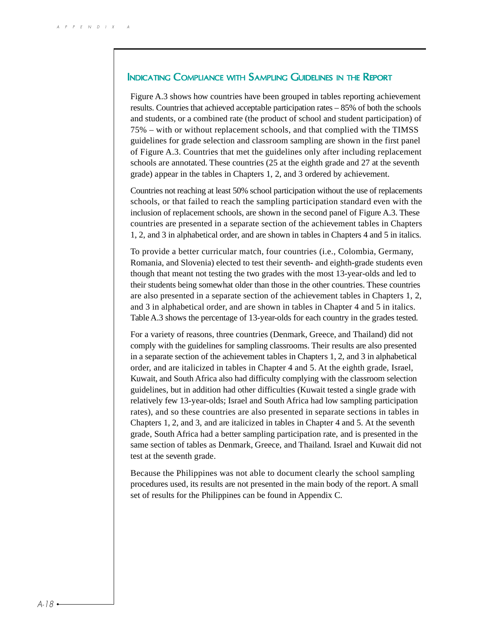#### INDICATING COMPLIANCE WITH SAMPLING GUIDELINES IN THE REPORT

Figure A.3 shows how countries have been grouped in tables reporting achievement results. Countries that achieved acceptable participation rates – 85% of both the schools and students, or a combined rate (the product of school and student participation) of 75% – with or without replacement schools, and that complied with the TIMSS guidelines for grade selection and classroom sampling are shown in the first panel of Figure A.3. Countries that met the guidelines only after including replacement schools are annotated. These countries (25 at the eighth grade and 27 at the seventh grade) appear in the tables in Chapters 1, 2, and 3 ordered by achievement.

Countries not reaching at least 50% school participation without the use of replacements schools, or that failed to reach the sampling participation standard even with the inclusion of replacement schools, are shown in the second panel of Figure A.3. These countries are presented in a separate section of the achievement tables in Chapters 1, 2, and 3 in alphabetical order, and are shown in tables in Chapters 4 and 5 in italics.

To provide a better curricular match, four countries (i.e., Colombia, Germany, Romania, and Slovenia) elected to test their seventh- and eighth-grade students even though that meant not testing the two grades with the most 13-year-olds and led to their students being somewhat older than those in the other countries. These countries are also presented in a separate section of the achievement tables in Chapters 1, 2, and 3 in alphabetical order, and are shown in tables in Chapter 4 and 5 in italics. Table A.3 shows the percentage of 13-year-olds for each country in the grades tested.

For a variety of reasons, three countries (Denmark, Greece, and Thailand) did not comply with the guidelines for sampling classrooms. Their results are also presented in a separate section of the achievement tables in Chapters 1, 2, and 3 in alphabetical order, and are italicized in tables in Chapter 4 and 5. At the eighth grade, Israel, Kuwait, and South Africa also had difficulty complying with the classroom selection guidelines, but in addition had other difficulties (Kuwait tested a single grade with relatively few 13-year-olds; Israel and South Africa had low sampling participation rates), and so these countries are also presented in separate sections in tables in Chapters 1, 2, and 3, and are italicized in tables in Chapter 4 and 5. At the seventh grade, South Africa had a better sampling participation rate, and is presented in the same section of tables as Denmark, Greece, and Thailand. Israel and Kuwait did not test at the seventh grade.

Because the Philippines was not able to document clearly the school sampling procedures used, its results are not presented in the main body of the report. A small set of results for the Philippines can be found in Appendix C.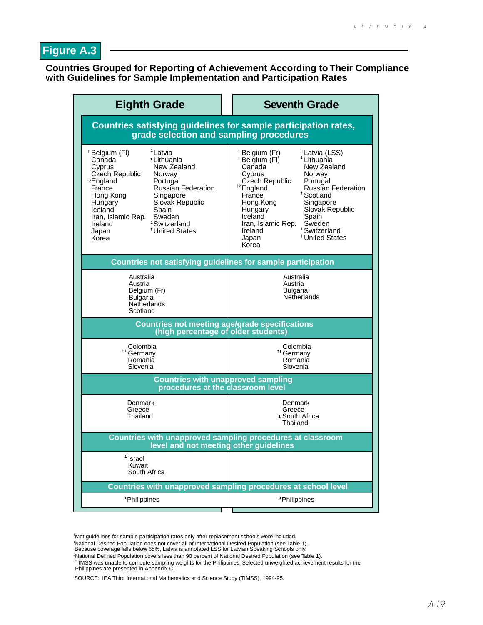# **Figure A.3**

#### **Countries Grouped for Reporting of Achievement According to Their Compliance with Guidelines for Sample Implementation and Participation Rates**

| <b>Eighth Grade</b>                                                                                                                                                                                                                                                                                                                                                                                                       | <b>Seventh Grade</b>                                                                                                                                                                                                                                                                                                                                                                                                                                                            |  |  |  |  |
|---------------------------------------------------------------------------------------------------------------------------------------------------------------------------------------------------------------------------------------------------------------------------------------------------------------------------------------------------------------------------------------------------------------------------|---------------------------------------------------------------------------------------------------------------------------------------------------------------------------------------------------------------------------------------------------------------------------------------------------------------------------------------------------------------------------------------------------------------------------------------------------------------------------------|--|--|--|--|
| grade selection and sampling procedures                                                                                                                                                                                                                                                                                                                                                                                   | Countries satisfying guidelines for sample participation rates,                                                                                                                                                                                                                                                                                                                                                                                                                 |  |  |  |  |
| <sup>1</sup> Latvia<br><sup>†</sup> Belgium (FI)<br><sup>1</sup> Lithuania<br>Canada<br>New Zealand<br>Cyprus<br>Czech Republic<br>Norway<br>t <sup>2</sup> England<br>Portugal<br><b>Russian Federation</b><br>France<br>Hong Kong<br>Singapore<br>Slovak Republic<br>Hungary<br>Iceland<br>Spain<br>Sweden<br>Iran, Islamic Rep.<br><sup>1</sup> Switzerland<br>Ireland<br><sup>†</sup> United States<br>Japan<br>Korea | <sup>†</sup> Belgium (Fr)<br><sup>1</sup> Latvia (LSS)<br><sup>1</sup> Lithuania<br><sup>†</sup> Belgium (FI)<br>Canada<br>New Zealand<br>Cyprus<br>Norway<br>Czech Republic<br>Portugal<br><sup>t2</sup> England<br><b>Russian Federation</b><br><sup>†</sup> Scotland<br>France<br>Hong Kong<br>Singapore<br>Slovak Republic<br>Hungary<br>Iceland<br>Spain<br>Icelariu<br>Iran, Islamic Rep. Swegen<br>1 Switzerland<br>2116<br><sup>†</sup> United States<br>Japan<br>Korea |  |  |  |  |
| Countries not satisfying guidelines for sample participation                                                                                                                                                                                                                                                                                                                                                              |                                                                                                                                                                                                                                                                                                                                                                                                                                                                                 |  |  |  |  |
| Australia<br>Austria<br>Belgium (Fr)<br>Bulgaria<br>Netherlands<br>Scotland                                                                                                                                                                                                                                                                                                                                               | Australia<br>Austria<br>Bulgaria<br><b>Netherlands</b>                                                                                                                                                                                                                                                                                                                                                                                                                          |  |  |  |  |
| (high percentage of older students)                                                                                                                                                                                                                                                                                                                                                                                       | <b>Countries not meeting age/grade specifications</b>                                                                                                                                                                                                                                                                                                                                                                                                                           |  |  |  |  |
| Colombia<br>†1<br>Germany<br>Romania<br>Slovenia                                                                                                                                                                                                                                                                                                                                                                          | Colombia<br><sup>†1</sup> Germany<br>Romania<br>Slovenia                                                                                                                                                                                                                                                                                                                                                                                                                        |  |  |  |  |
| procedures at the classroom level                                                                                                                                                                                                                                                                                                                                                                                         | <b>Countries with unapproved sampling</b>                                                                                                                                                                                                                                                                                                                                                                                                                                       |  |  |  |  |
| Denmark<br>Greece<br>Thailand                                                                                                                                                                                                                                                                                                                                                                                             | Denmark<br>Greece<br><sup>1</sup> South Africa<br>Thailand                                                                                                                                                                                                                                                                                                                                                                                                                      |  |  |  |  |
| level and not meeting other guidelines                                                                                                                                                                                                                                                                                                                                                                                    | Countries with unapproved sampling procedures at classroom                                                                                                                                                                                                                                                                                                                                                                                                                      |  |  |  |  |
| <sup>1</sup> Israel<br>Kuwait<br>South Africa                                                                                                                                                                                                                                                                                                                                                                             |                                                                                                                                                                                                                                                                                                                                                                                                                                                                                 |  |  |  |  |
|                                                                                                                                                                                                                                                                                                                                                                                                                           | Countries with unapproved sampling procedures at school level                                                                                                                                                                                                                                                                                                                                                                                                                   |  |  |  |  |
| <sup>3</sup> Philippines                                                                                                                                                                                                                                                                                                                                                                                                  | <sup>3</sup> Philippines                                                                                                                                                                                                                                                                                                                                                                                                                                                        |  |  |  |  |

† Met guidelines for sample participation rates only after replacement schools were included.

1 National Desired Population does not cover all of International Desired Population (see Table 1). Because coverage falls below 65%, Latvia is annotated LSS for Latvian Speaking Schools only.

2 National Defined Population covers less than 90 percent of National Desired Population (see Table 1).

3 TIMSS was unable to compute sampling weights for the Philippines. Selected unweighted achievement results for the Philippines are presented in Appendix C.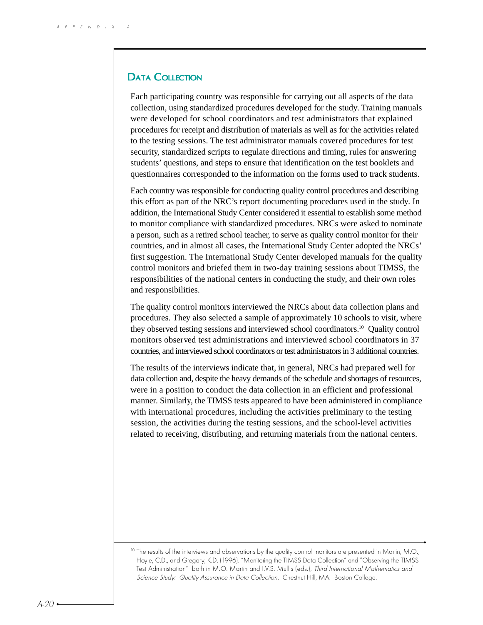#### **DATA COLLECTION**

Each participating country was responsible for carrying out all aspects of the data collection, using standardized procedures developed for the study. Training manuals were developed for school coordinators and test administrators that explained procedures for receipt and distribution of materials as well as for the activities related to the testing sessions. The test administrator manuals covered procedures for test security, standardized scripts to regulate directions and timing, rules for answering students' questions, and steps to ensure that identification on the test booklets and questionnaires corresponded to the information on the forms used to track students.

Each country was responsible for conducting quality control procedures and describing this effort as part of the NRC's report documenting procedures used in the study. In addition, the International Study Center considered it essential to establish some method to monitor compliance with standardized procedures. NRCs were asked to nominate a person, such as a retired school teacher, to serve as quality control monitor for their countries, and in almost all cases, the International Study Center adopted the NRCs' first suggestion. The International Study Center developed manuals for the quality control monitors and briefed them in two-day training sessions about TIMSS, the responsibilities of the national centers in conducting the study, and their own roles and responsibilities.

The quality control monitors interviewed the NRCs about data collection plans and procedures. They also selected a sample of approximately 10 schools to visit, where they observed testing sessions and interviewed school coordinators.10 Quality control monitors observed test administrations and interviewed school coordinators in 37 countries, and interviewed school coordinators or test administrators in 3 additional countries.

The results of the interviews indicate that, in general, NRCs had prepared well for data collection and, despite the heavy demands of the schedule and shortages of resources, were in a position to conduct the data collection in an efficient and professional manner. Similarly, the TIMSS tests appeared to have been administered in compliance with international procedures, including the activities preliminary to the testing session, the activities during the testing sessions, and the school-level activities related to receiving, distributing, and returning materials from the national centers.

<sup>&</sup>lt;sup>10</sup> The results of the interviews and observations by the quality control monitors are presented in Martin, M.O., Hoyle, C.D., and Gregory, K.D. (1996). "Monitoring the TIMSS Data Collection" and "Observing the TIMSS Test Administration" both in M.O. Martin and I.V.S. Mullis (eds.), Third International Mathematics and Science Study: Quality Assurance in Data Collection. Chestnut Hill, MA: Boston College.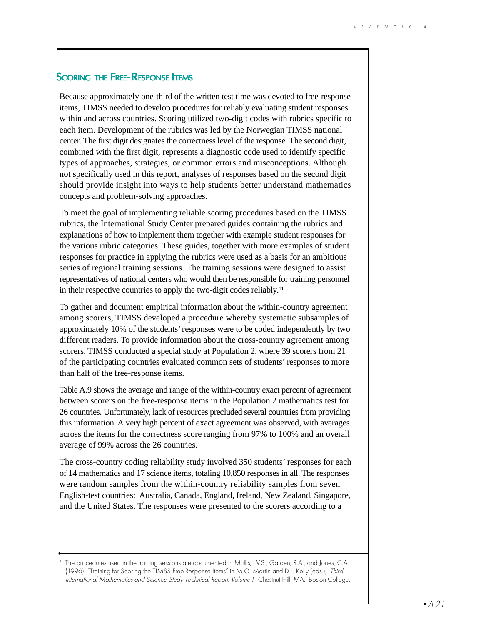#### **SCORING THE FREE-RESPONSE ITEMS**

Because approximately one-third of the written test time was devoted to free-response items, TIMSS needed to develop procedures for reliably evaluating student responses within and across countries. Scoring utilized two-digit codes with rubrics specific to each item. Development of the rubrics was led by the Norwegian TIMSS national center. The first digit designates the correctness level of the response. The second digit, combined with the first digit, represents a diagnostic code used to identify specific types of approaches, strategies, or common errors and misconceptions. Although not specifically used in this report, analyses of responses based on the second digit should provide insight into ways to help students better understand mathematics concepts and problem-solving approaches.

To meet the goal of implementing reliable scoring procedures based on the TIMSS rubrics, the International Study Center prepared guides containing the rubrics and explanations of how to implement them together with example student responses for the various rubric categories. These guides, together with more examples of student responses for practice in applying the rubrics were used as a basis for an ambitious series of regional training sessions. The training sessions were designed to assist representatives of national centers who would then be responsible for training personnel in their respective countries to apply the two-digit codes reliably.11

To gather and document empirical information about the within-country agreement among scorers, TIMSS developed a procedure whereby systematic subsamples of approximately 10% of the students' responses were to be coded independently by two different readers. To provide information about the cross-country agreement among scorers, TIMSS conducted a special study at Population 2, where 39 scorers from 21 of the participating countries evaluated common sets of students' responses to more than half of the free-response items.

Table A.9 shows the average and range of the within-country exact percent of agreement between scorers on the free-response items in the Population 2 mathematics test for 26 countries. Unfortunately, lack of resources precluded several countries from providing this information. A very high percent of exact agreement was observed, with averages across the items for the correctness score ranging from 97% to 100% and an overall average of 99% across the 26 countries.

The cross-country coding reliability study involved 350 students' responses for each of 14 mathematics and 17 science items, totaling 10,850 responses in all. The responses were random samples from the within-country reliability samples from seven English-test countries: Australia, Canada, England, Ireland, New Zealand, Singapore, and the United States. The responses were presented to the scorers according to a

<sup>11</sup> The procedures used in the training sessions are documented in Mullis, I.V.S., Garden, R.A., and Jones, C.A. (1996). "Training for Scoring the TIMSS Free-Response Items" in M.O. Martin and D.L. Kelly (eds.), Third International Mathematics and Science Study Technical Report, Volume I. Chestnut Hill, MA: Boston College.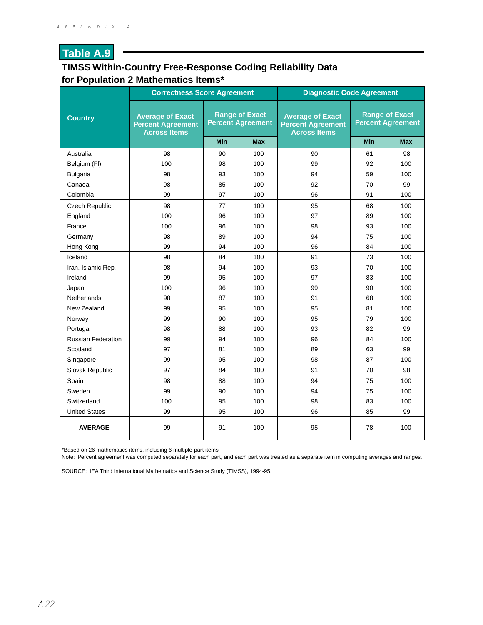# **TIMSS Within-Country Free-Response Coding Reliability Data for Population 2 Mathematics Items\***

|                           |                                                                            | <b>Correctness Score Agreement</b><br><b>Diagnostic Code Agreement</b> |            |                                                                            |                                                   |            |
|---------------------------|----------------------------------------------------------------------------|------------------------------------------------------------------------|------------|----------------------------------------------------------------------------|---------------------------------------------------|------------|
| <b>Country</b>            | <b>Average of Exact</b><br><b>Percent Agreement</b><br><b>Across Items</b> | <b>Range of Exact</b><br><b>Percent Agreement</b>                      |            | <b>Average of Exact</b><br><b>Percent Agreement</b><br><b>Across Items</b> | <b>Range of Exact</b><br><b>Percent Agreement</b> |            |
|                           |                                                                            | <b>Min</b>                                                             | <b>Max</b> |                                                                            | <b>Min</b>                                        | <b>Max</b> |
| Australia                 | 98                                                                         | 90                                                                     | 100        | 90                                                                         | 61                                                | 98         |
| Belgium (FI)              | 100                                                                        | 98                                                                     | 100        | 99                                                                         | 92                                                | 100        |
| <b>Bulgaria</b>           | 98                                                                         | 93                                                                     | 100        | 94                                                                         | 59                                                | 100        |
| Canada                    | 98                                                                         | 85                                                                     | 100        | 92                                                                         | 70                                                | 99         |
| Colombia                  | 99                                                                         | 97                                                                     | 100        | 96                                                                         | 91                                                | 100        |
| Czech Republic            | 98                                                                         | 77                                                                     | 100        | 95                                                                         | 68                                                | 100        |
| England                   | 100                                                                        | 96                                                                     | 100        | 97                                                                         | 89                                                | 100        |
| France                    | 100                                                                        | 96                                                                     | 100        | 98                                                                         | 93                                                | 100        |
| Germany                   | 98                                                                         | 89                                                                     | 100        | 94                                                                         | 75                                                | 100        |
| Hong Kong                 | 99                                                                         | 94                                                                     | 100        | 96                                                                         | 84                                                | 100        |
| Iceland                   | 98                                                                         | 84                                                                     | 100        | 91                                                                         | 73                                                | 100        |
| Iran, Islamic Rep.        | 98                                                                         | 94                                                                     | 100        | 93                                                                         | 70                                                | 100        |
| Ireland                   | 99                                                                         | 95                                                                     | 100        | 97                                                                         | 83                                                | 100        |
| Japan                     | 100                                                                        | 96                                                                     | 100        | 99                                                                         | 90                                                | 100        |
| Netherlands               | 98                                                                         | 87                                                                     | 100        | 91                                                                         | 68                                                | 100        |
| New Zealand               | 99                                                                         | 95                                                                     | 100        | 95                                                                         | 81                                                | 100        |
| Norway                    | 99                                                                         | 90                                                                     | 100        | 95                                                                         | 79                                                | 100        |
| Portugal                  | 98                                                                         | 88                                                                     | 100        | 93                                                                         | 82                                                | 99         |
| <b>Russian Federation</b> | 99                                                                         | 94                                                                     | 100        | 96                                                                         | 84                                                | 100        |
| Scotland                  | 97                                                                         | 81                                                                     | 100        | 89                                                                         | 63                                                | 99         |
| Singapore                 | 99                                                                         | 95                                                                     | 100        | 98                                                                         | 87                                                | 100        |
| Slovak Republic           | 97                                                                         | 84                                                                     | 100        | 91                                                                         | 70                                                | 98         |
| Spain                     | 98                                                                         | 88                                                                     | 100        | 94                                                                         | 75                                                | 100        |
| Sweden                    | 99                                                                         | 90                                                                     | 100        | 94                                                                         | 75                                                | 100        |
| Switzerland               | 100                                                                        | 95                                                                     | 100        | 98                                                                         | 83                                                | 100        |
| <b>United States</b>      | 99                                                                         | 95                                                                     | 100        | 96                                                                         | 85                                                | 99         |
| <b>AVERAGE</b>            | 99                                                                         | 91                                                                     | 100        | 95                                                                         | 78                                                | 100        |

\*Based on 26 mathematics items, including 6 multiple-part items.

Note: Percent agreement was computed separately for each part, and each part was treated as a separate item in computing averages and ranges.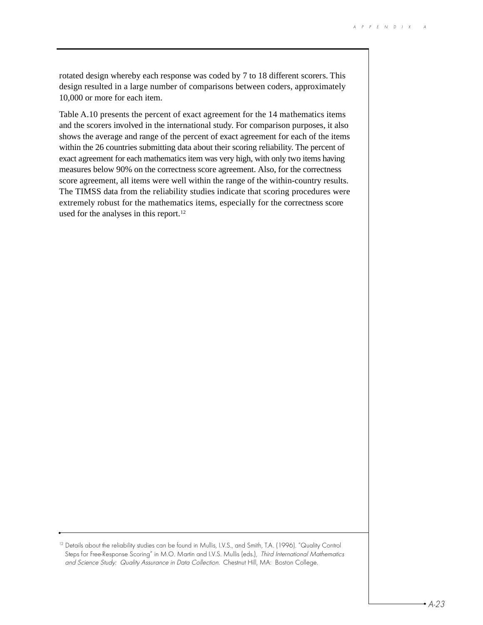rotated design whereby each response was coded by 7 to 18 different scorers. This design resulted in a large number of comparisons between coders, approximately 10,000 or more for each item.

Table A.10 presents the percent of exact agreement for the 14 mathematics items and the scorers involved in the international study. For comparison purposes, it also shows the average and range of the percent of exact agreement for each of the items within the 26 countries submitting data about their scoring reliability. The percent of exact agreement for each mathematics item was very high, with only two items having measures below 90% on the correctness score agreement. Also, for the correctness score agreement, all items were well within the range of the within-country results. The TIMSS data from the reliability studies indicate that scoring procedures were extremely robust for the mathematics items, especially for the correctness score used for the analyses in this report.<sup>12</sup>

<sup>&</sup>lt;sup>12</sup> Details about the reliability studies can be found in Mullis, I.V.S., and Smith, T.A. (1996). "Quality Control Steps for Free-Response Scoring" in M.O. Martin and I.V.S. Mullis (eds.), Third International Mathematics and Science Study: Quality Assurance in Data Collection. Chestnut Hill, MA: Boston College.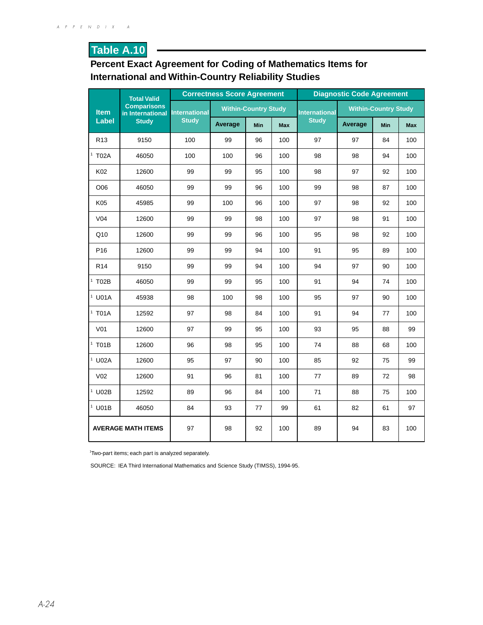### **Percent Exact Agreement for Coding of Mathematics Items for International and Within-Country Reliability Studies**

|                           | <b>Total Valid</b><br><b>Comparisons</b><br>in International<br><b>Study</b> | <b>Correctness Score Agreement</b>   |                             |     |            | <b>Diagnostic Code Agreement</b> |                             |            |            |
|---------------------------|------------------------------------------------------------------------------|--------------------------------------|-----------------------------|-----|------------|----------------------------------|-----------------------------|------------|------------|
| <b>Item</b><br>Label      |                                                                              | <b>International</b><br><b>Study</b> | <b>Within-Country Study</b> |     |            | <b>International</b>             | <b>Within-Country Study</b> |            |            |
|                           |                                                                              |                                      | Average                     | Min | <b>Max</b> | <b>Study</b>                     | Average                     | <b>Min</b> | <b>Max</b> |
| R <sub>13</sub>           | 9150                                                                         | 100                                  | 99                          | 96  | 100        | 97                               | 97                          | 84         | 100        |
| $1$ T02A                  | 46050                                                                        | 100                                  | 100                         | 96  | 100        | 98                               | 98                          | 94         | 100        |
| K02                       | 12600                                                                        | 99                                   | 99                          | 95  | 100        | 98                               | 97                          | 92         | 100        |
| O06                       | 46050                                                                        | 99                                   | 99                          | 96  | 100        | 99                               | 98                          | 87         | 100        |
| K05                       | 45985                                                                        | 99                                   | 100                         | 96  | 100        | 97                               | 98                          | 92         | 100        |
| V <sub>04</sub>           | 12600                                                                        | 99                                   | 99                          | 98  | 100        | 97                               | 98                          | 91         | 100        |
| Q10                       | 12600                                                                        | 99                                   | 99                          | 96  | 100        | 95                               | 98                          | 92         | 100        |
| P <sub>16</sub>           | 12600                                                                        | 99                                   | 99                          | 94  | 100        | 91                               | 95                          | 89         | 100        |
| R <sub>14</sub>           | 9150                                                                         | 99                                   | 99                          | 94  | 100        | 94                               | 97                          | 90         | 100        |
| 1<br>T <sub>02</sub> B    | 46050                                                                        | 99                                   | 99                          | 95  | 100        | 91                               | 94                          | 74         | 100        |
| $1$ U01A                  | 45938                                                                        | 98                                   | 100                         | 98  | 100        | 95                               | 97                          | 90         | 100        |
| $1$ T01A                  | 12592                                                                        | 97                                   | 98                          | 84  | 100        | 91                               | 94                          | 77         | 100        |
| V <sub>01</sub>           | 12600                                                                        | 97                                   | 99                          | 95  | 100        | 93                               | 95                          | 88         | 99         |
| $1$ T01B                  | 12600                                                                        | 96                                   | 98                          | 95  | 100        | 74                               | 88                          | 68         | 100        |
| <sup>1</sup> U02A         | 12600                                                                        | 95                                   | 97                          | 90  | 100        | 85                               | 92                          | 75         | 99         |
| V <sub>02</sub>           | 12600                                                                        | 91                                   | 96                          | 81  | 100        | 77                               | 89                          | 72         | 98         |
| $1$ U02B                  | 12592                                                                        | 89                                   | 96                          | 84  | 100        | 71                               | 88                          | 75         | 100        |
| $1$ U01B                  | 46050                                                                        | 84                                   | 93                          | 77  | 99         | 61                               | 82                          | 61         | 97         |
| <b>AVERAGE MATH ITEMS</b> |                                                                              | 97                                   | 98                          | 92  | 100        | 89                               | 94                          | 83         | 100        |

1 Two-part items; each part is analyzed separately.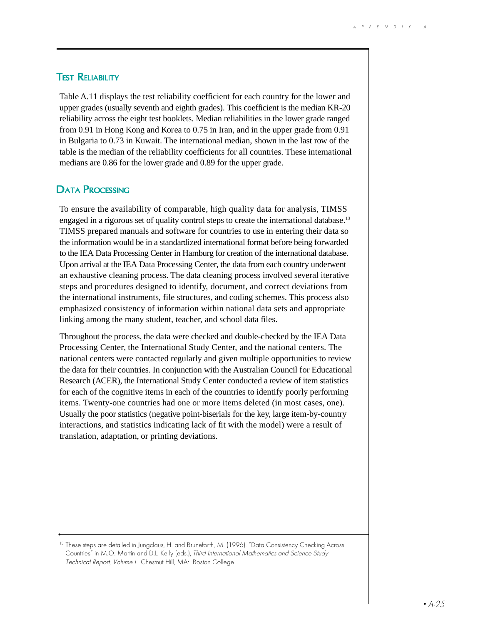#### **TEST RELIABILITY**

Table A.11 displays the test reliability coefficient for each country for the lower and upper grades (usually seventh and eighth grades). This coefficient is the median KR-20 reliability across the eight test booklets. Median reliabilities in the lower grade ranged from 0.91 in Hong Kong and Korea to 0.75 in Iran, and in the upper grade from 0.91 in Bulgaria to 0.73 in Kuwait. The international median, shown in the last row of the table is the median of the reliability coefficients for all countries. These international medians are 0.86 for the lower grade and 0.89 for the upper grade.

#### DATA PROCESSING

To ensure the availability of comparable, high quality data for analysis, TIMSS engaged in a rigorous set of quality control steps to create the international database.<sup>13</sup> TIMSS prepared manuals and software for countries to use in entering their data so the information would be in a standardized international format before being forwarded to the IEA Data Processing Center in Hamburg for creation of the international database. Upon arrival at the IEA Data Processing Center, the data from each country underwent an exhaustive cleaning process. The data cleaning process involved several iterative steps and procedures designed to identify, document, and correct deviations from the international instruments, file structures, and coding schemes. This process also emphasized consistency of information within national data sets and appropriate linking among the many student, teacher, and school data files.

Throughout the process, the data were checked and double-checked by the IEA Data Processing Center, the International Study Center, and the national centers. The national centers were contacted regularly and given multiple opportunities to review the data for their countries. In conjunction with the Australian Council for Educational Research (ACER), the International Study Center conducted a review of item statistics for each of the cognitive items in each of the countries to identify poorly performing items. Twenty-one countries had one or more items deleted (in most cases, one). Usually the poor statistics (negative point-biserials for the key, large item-by-country interactions, and statistics indicating lack of fit with the model) were a result of translation, adaptation, or printing deviations.

<sup>&</sup>lt;sup>13</sup> These steps are detailed in Jungclaus, H. and Bruneforth, M. (1996). "Data Consistency Checking Across Countries" in M.O. Martin and D.L. Kelly (eds.), Third International Mathematics and Science Study Technical Report, Volume I. Chestnut Hill, MA: Boston College.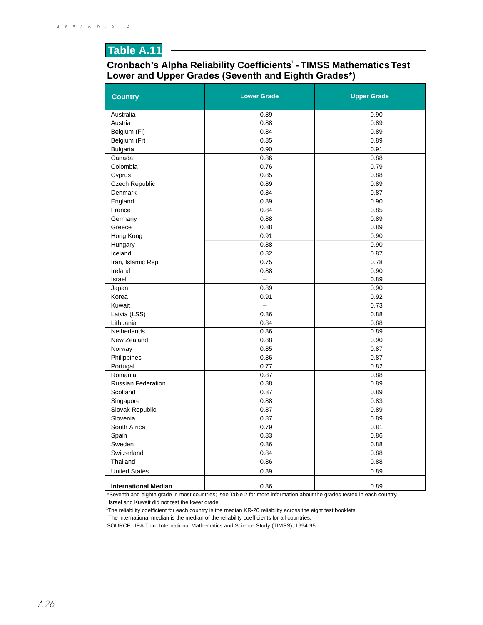#### **Cronbach's Alpha Reliability Coefficients<sup>1</sup> - TIMSS Mathematics Test Lower and Upper Grades (Seventh and Eighth Grades\*)**

| <b>Country</b>              | <b>Lower Grade</b>       | <b>Upper Grade</b> |  |  |  |
|-----------------------------|--------------------------|--------------------|--|--|--|
| Australia                   | 0.89                     | 0.90               |  |  |  |
| Austria                     | 0.88                     | 0.89               |  |  |  |
| Belgium (FI)                | 0.84                     | 0.89               |  |  |  |
| Belgium (Fr)                | 0.85                     | 0.89               |  |  |  |
| <b>Bulgaria</b>             | 0.90                     | 0.91               |  |  |  |
| Canada                      | 0.86                     | 0.88               |  |  |  |
| Colombia                    | 0.76                     | 0.79               |  |  |  |
| Cyprus                      | 0.85                     | 0.88               |  |  |  |
| Czech Republic              | 0.89                     | 0.89               |  |  |  |
| Denmark                     | 0.84                     | 0.87               |  |  |  |
| England                     | 0.89                     | 0.90               |  |  |  |
| France                      | 0.84                     | 0.85               |  |  |  |
| Germany                     | 0.88                     | 0.89               |  |  |  |
| Greece                      | 0.88                     | 0.89               |  |  |  |
| Hong Kong                   | 0.91                     | 0.90               |  |  |  |
| Hungary                     | 0.88                     | 0.90               |  |  |  |
| Iceland                     | 0.82                     | 0.87               |  |  |  |
| Iran, Islamic Rep.          | 0.75                     | 0.78               |  |  |  |
| Ireland                     | 0.88                     | 0.90               |  |  |  |
| Israel                      |                          | 0.89               |  |  |  |
| Japan                       | 0.89                     | 0.90               |  |  |  |
| Korea                       | 0.91                     | 0.92               |  |  |  |
| Kuwait                      | $\overline{\phantom{0}}$ | 0.73               |  |  |  |
| Latvia (LSS)                | 0.86                     | 0.88               |  |  |  |
| Lithuania                   | 0.84                     | 0.88               |  |  |  |
| <b>Netherlands</b>          | 0.86                     | 0.89               |  |  |  |
| New Zealand                 | 0.88                     | 0.90               |  |  |  |
| Norway                      | 0.85                     | 0.87               |  |  |  |
| Philippines                 | 0.86                     | 0.87               |  |  |  |
| Portugal                    | 0.77                     | 0.82               |  |  |  |
| Romania                     | 0.87                     | 0.88               |  |  |  |
| <b>Russian Federation</b>   | 0.88                     | 0.89               |  |  |  |
| Scotland                    | 0.87                     | 0.89               |  |  |  |
| Singapore                   | 0.88                     | 0.83               |  |  |  |
| Slovak Republic             | 0.87                     | 0.89               |  |  |  |
| Slovenia                    | 0.87                     | 0.89               |  |  |  |
| South Africa                | 0.79                     | 0.81               |  |  |  |
| Spain                       | 0.83                     | 0.86               |  |  |  |
| Sweden                      | 0.86                     | 0.88               |  |  |  |
| Switzerland                 | 0.84                     | 0.88               |  |  |  |
| Thailand                    | 0.86                     | 0.88               |  |  |  |
| <b>United States</b>        | 0.89                     | 0.89               |  |  |  |
| <b>International Median</b> | 0.86                     | 0.89               |  |  |  |

\*Seventh and eighth grade in most countries; see Table 2 for more information about the grades tested in each country. Israel and Kuwait did not test the lower grade.

1 The reliability coefficient for each country is the median KR-20 reliability across the eight test booklets.

The international median is the median of the reliability coefficients for all countries.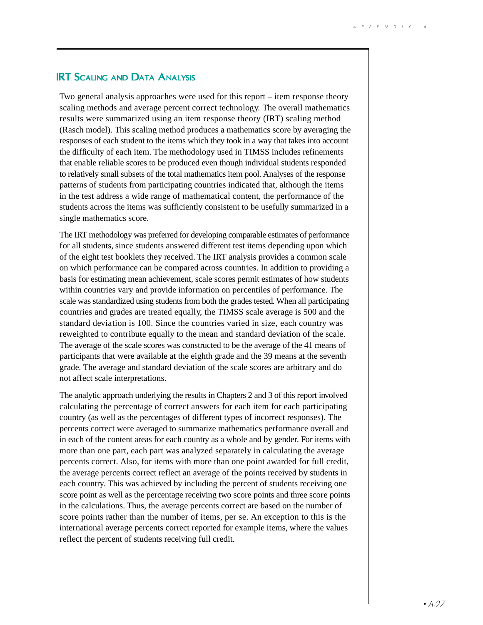#### **IRT SCALING AND DATA ANALYSIS**

Two general analysis approaches were used for this report – item response theory scaling methods and average percent correct technology. The overall mathematics results were summarized using an item response theory (IRT) scaling method (Rasch model). This scaling method produces a mathematics score by averaging the responses of each student to the items which they took in a way that takes into account the difficulty of each item. The methodology used in TIMSS includes refinements that enable reliable scores to be produced even though individual students responded to relatively small subsets of the total mathematics item pool. Analyses of the response patterns of students from participating countries indicated that, although the items in the test address a wide range of mathematical content, the performance of the students across the items was sufficiently consistent to be usefully summarized in a single mathematics score.

The IRT methodology was preferred for developing comparable estimates of performance for all students, since students answered different test items depending upon which of the eight test booklets they received. The IRT analysis provides a common scale on which performance can be compared across countries. In addition to providing a basis for estimating mean achievement, scale scores permit estimates of how students within countries vary and provide information on percentiles of performance. The scale was standardized using students from both the grades tested. When all participating countries and grades are treated equally, the TIMSS scale average is 500 and the standard deviation is 100. Since the countries varied in size, each country was reweighted to contribute equally to the mean and standard deviation of the scale. The average of the scale scores was constructed to be the average of the 41 means of participants that were available at the eighth grade and the 39 means at the seventh grade. The average and standard deviation of the scale scores are arbitrary and do not affect scale interpretations.

The analytic approach underlying the results in Chapters 2 and 3 of this report involved calculating the percentage of correct answers for each item for each participating country (as well as the percentages of different types of incorrect responses). The percents correct were averaged to summarize mathematics performance overall and in each of the content areas for each country as a whole and by gender. For items with more than one part, each part was analyzed separately in calculating the average percents correct. Also, for items with more than one point awarded for full credit, the average percents correct reflect an average of the points received by students in each country. This was achieved by including the percent of students receiving one score point as well as the percentage receiving two score points and three score points in the calculations. Thus, the average percents correct are based on the number of score points rather than the number of items, per se. An exception to this is the international average percents correct reported for example items, where the values reflect the percent of students receiving full credit.